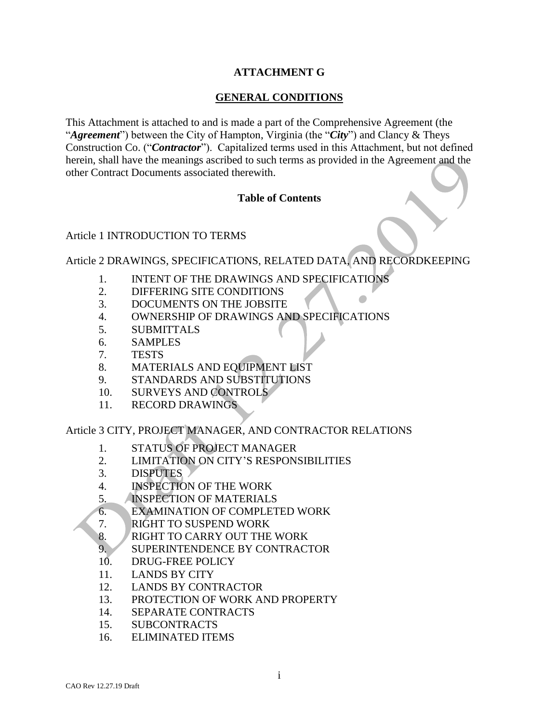## **ATTACHMENT G**

## **GENERAL CONDITIONS**

This Attachment is attached to and is made a part of the Comprehensive Agreement (the "*Agreement*") between the City of Hampton, Virginia (the "*City*") and Clancy & Theys Construction Co. ("*Contractor*"). Capitalized terms used in this Attachment, but not defined herein, shall have the meanings ascribed to such terms as provided in the Agreement and the other Contract Documents associated therewith.

#### **Table of Contents**

#### Article 1 INTRODUCTION TO TERMS

## Article 2 DRAWINGS, SPECIFICATIONS, RELATED DATA, AND RECORDKEEPING

 $\blacksquare$ 

- 1. INTENT OF THE DRAWINGS AND SPECIFICATIONS
- 2. DIFFERING SITE CONDITIONS
- 3. DOCUMENTS ON THE JOBSITE
- 4. OWNERSHIP OF DRAWINGS AND SPECIFICATIONS
- 5. SUBMITTALS
- 6. SAMPLES
- 7. TESTS
- 8. MATERIALS AND EQUIPMENT LIST
- 9. STANDARDS AND SUBSTITUTIONS
- 10. SURVEYS AND CONTROLS
- 11. RECORD DRAWINGS

Article 3 CITY, PROJECT MANAGER, AND CONTRACTOR RELATIONS

- 1. STATUS OF PROJECT MANAGER
- 2. LIMITATION ON CITY'S RESPONSIBILITIES
- 3. DISPUTES
- 4. INSPECTION OF THE WORK
- 5. INSPECTION OF MATERIALS
- 6. EXAMINATION OF COMPLETED WORK
- 7. RIGHT TO SUSPEND WORK
- 8. RIGHT TO CARRY OUT THE WORK
- 9. SUPERINTENDENCE BY CONTRACTOR
- 10. DRUG-FREE POLICY
- 11. LANDS BY CITY
- 12. LANDS BY CONTRACTOR
- 13. PROTECTION OF WORK AND PROPERTY
- 14. SEPARATE CONTRACTS
- 15. SUBCONTRACTS
- 16. ELIMINATED ITEMS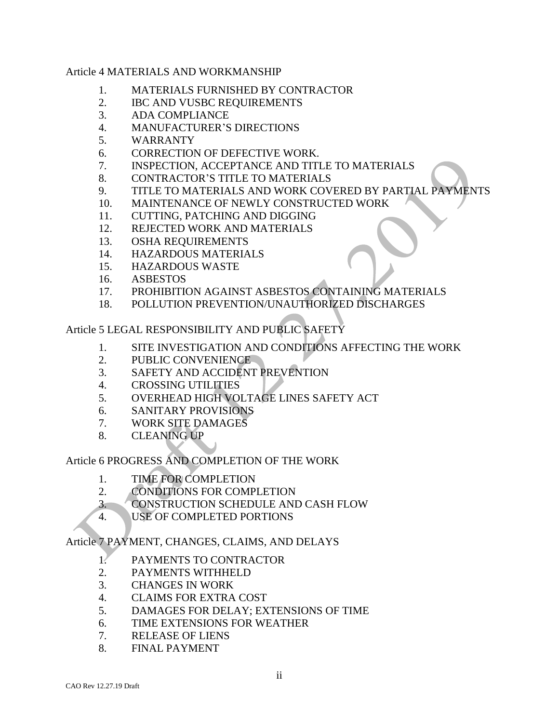#### Article 4 MATERIALS AND WORKMANSHIP

- 1. MATERIALS FURNISHED BY CONTRACTOR
- 2. IBC AND VUSBC REQUIREMENTS
- 3. ADA COMPLIANCE
- 4. MANUFACTURER'S DIRECTIONS
- 5. WARRANTY
- 6. CORRECTION OF DEFECTIVE WORK.
- 7. INSPECTION, ACCEPTANCE AND TITLE TO MATERIALS
- 8. CONTRACTOR'S TITLE TO MATERIALS
- 9. TITLE TO MATERIALS AND WORK COVERED BY PARTIAL PAYMENTS
- 10. MAINTENANCE OF NEWLY CONSTRUCTED WORK
- 11. CUTTING, PATCHING AND DIGGING
- 12. REJECTED WORK AND MATERIALS
- 13. OSHA REQUIREMENTS
- 14. HAZARDOUS MATERIALS
- 15. HAZARDOUS WASTE
- 16. ASBESTOS
- 17. PROHIBITION AGAINST ASBESTOS CONTAINING MATERIALS
- 18. POLLUTION PREVENTION/UNAUTHORIZED DISCHARGES

Article 5 LEGAL RESPONSIBILITY AND PUBLIC SAFETY

- 1. SITE INVESTIGATION AND CONDITIONS AFFECTING THE WORK
- 2. PUBLIC CONVENIENCE
- 3. SAFETY AND ACCIDENT PREVENTION
- 4. CROSSING UTILITIES
- 5. OVERHEAD HIGH VOLTAGE LINES SAFETY ACT
- 6. SANITARY PROVISIONS
- 7. WORK SITE DAMAGES
- 8. CLEANING UP

Article 6 PROGRESS AND COMPLETION OF THE WORK

- 1. TIME FOR COMPLETION
- 2. CONDITIONS FOR COMPLETION
- 3. CONSTRUCTION SCHEDULE AND CASH FLOW
- 4. USE OF COMPLETED PORTIONS

Article 7 PAYMENT, CHANGES, CLAIMS, AND DELAYS

- 1. PAYMENTS TO CONTRACTOR
- 2. PAYMENTS WITHHELD
- 3. CHANGES IN WORK
- 4. CLAIMS FOR EXTRA COST
- 5. DAMAGES FOR DELAY; EXTENSIONS OF TIME
- 6. TIME EXTENSIONS FOR WEATHER
- 7. RELEASE OF LIENS
- 8. FINAL PAYMENT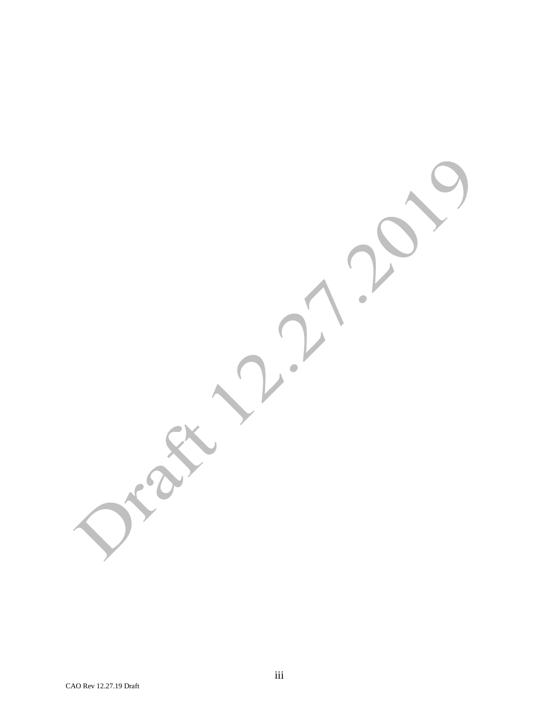$\bullet$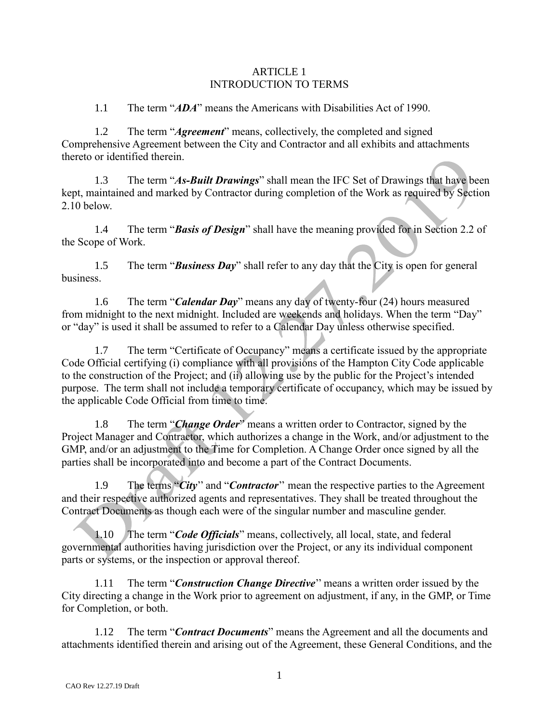#### ARTICLE 1 INTRODUCTION TO TERMS

1.1 The term "*ADA*" means the Americans with Disabilities Act of 1990.

1.2 The term "*Agreement*" means, collectively, the completed and signed Comprehensive Agreement between the City and Contractor and all exhibits and attachments thereto or identified therein.

1.3 The term "*As-Built Drawings*" shall mean the IFC Set of Drawings that have been kept, maintained and marked by Contractor during completion of the Work as required by Section [2.10](#page-10-0) below.

1.4 The term "*Basis of Design*" shall have the meaning provided for in Section 2.2 of the Scope of Work.

1.5 The term "*Business Day*" shall refer to any day that the City is open for general business.

1.6 The term "*Calendar Day*" means any day of twenty-four (24) hours measured from midnight to the next midnight. Included are weekends and holidays. When the term "Day" or "day" is used it shall be assumed to refer to a Calendar Day unless otherwise specified.

1.7 The term "Certificate of Occupancy" means a certificate issued by the appropriate Code Official certifying (i) compliance with all provisions of the Hampton City Code applicable to the construction of the Project; and (ii) allowing use by the public for the Project's intended purpose. The term shall not include a temporary certificate of occupancy, which may be issued by the applicable Code Official from time to time.

1.8 The term "*Change Order*" means a written order to Contractor, signed by the Project Manager and Contractor, which authorizes a change in the Work, and/or adjustment to the GMP, and/or an adjustment to the Time for Completion. A Change Order once signed by all the parties shall be incorporated into and become a part of the Contract Documents.

1.9 The terms "*City*'' and "*Contractor*'' mean the respective parties to the Agreement and their respective authorized agents and representatives. They shall be treated throughout the Contract Documents as though each were of the singular number and masculine gender.

1.10 The term "*Code Officials*" means, collectively, all local, state, and federal governmental authorities having jurisdiction over the Project, or any its individual component parts or systems, or the inspection or approval thereof.

1.11 The term "*Construction Change Directive*'' means a written order issued by the City directing a change in the Work prior to agreement on adjustment, if any, in the GMP, or Time for Completion, or both.

1.12 The term "*Contract Documents*" means the Agreement and all the documents and attachments identified therein and arising out of the Agreement, these General Conditions, and the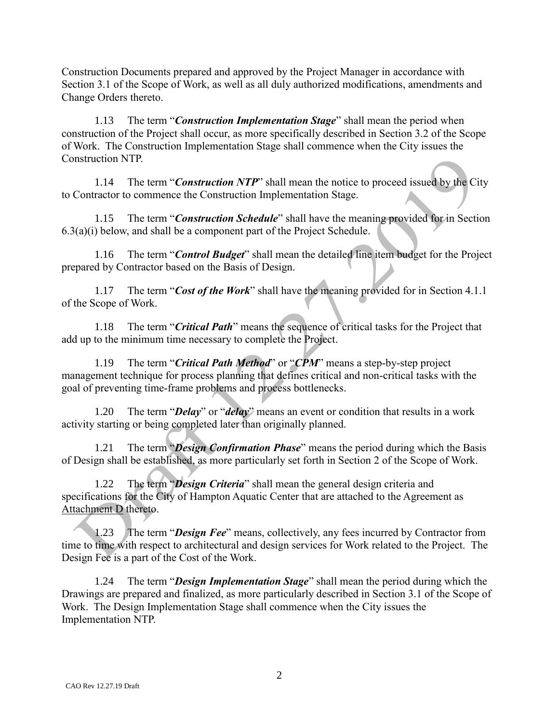Construction Documents prepared and approved by the Project Manager in accordance with Section 3.1 of the Scope of Work, as well as all duly authorized modifications, amendments and Change Orders thereto.

1.13 The term "*Construction Implementation Stage*" shall mean the period when construction of the Project shall occur, as more specifically described in Section 3.2 of the Scope of Work. The Construction Implementation Stage shall commence when the City issues the Construction NTP.

1.14 The term "*Construction NTP*" shall mean the notice to proceed issued by the City to Contractor to commence the Construction Implementation Stage.

1.15 The term "*Construction Schedule*" shall have the meaning provided for in Section  $6.3(a)(i)$  below, and shall be a component part of the Project Schedule.

1.16 The term "*Control Budget*" shall mean the detailed line item budget for the Project prepared by Contractor based on the Basis of Design.

1.17 The term "*Cost of the Work*" shall have the meaning provided for in Section 4.1.1 of the Scope of Work.

1.18 The term "*Critical Path*" means the sequence of critical tasks for the Project that add up to the minimum time necessary to complete the Project.

1.19 The term "*Critical Path Method*" or "*CPM*" means a step-by-step project management technique for process planning that defines critical and non-critical tasks with the goal of preventing time-frame problems and process bottlenecks.

1.20 The term "*Delay*" or "*delay*" means an event or condition that results in a work activity starting or being completed later than originally planned.

1.21 The term "*Design Confirmation Phase*" means the period during which the Basis of Design shall be established, as more particularly set forth in Section 2 of the Scope of Work.

1.22 The term "*Design Criteria*" shall mean the general design criteria and specifications for the City of Hampton Aquatic Center that are attached to the Agreement as Attachment D thereto.

1.23 The term "*Design Fee*" means, collectively, any fees incurred by Contractor from time to time with respect to architectural and design services for Work related to the Project. The Design Fee is a part of the Cost of the Work.

1.24 The term "*Design Implementation Stage*" shall mean the period during which the Drawings are prepared and finalized, as more particularly described in Section 3.1 of the Scope of Work. The Design Implementation Stage shall commence when the City issues the Implementation NTP.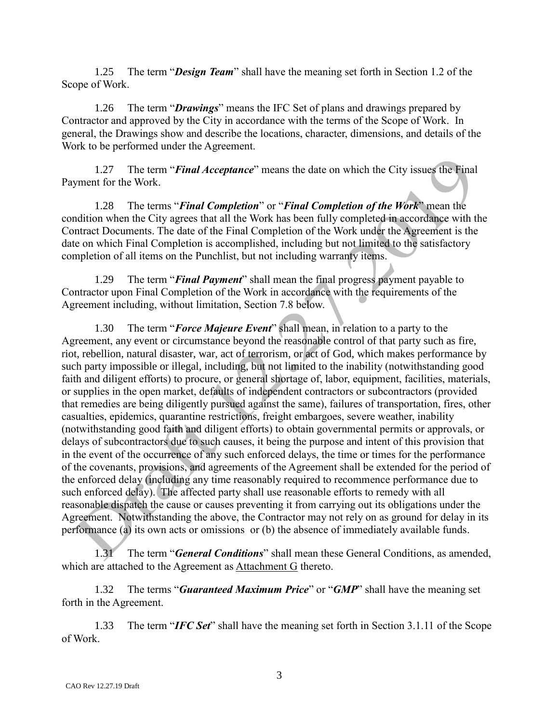1.25 The term "*Design Team*" shall have the meaning set forth in Section 1.2 of the Scope of Work.

1.26 The term "*Drawings*" means the IFC Set of plans and drawings prepared by Contractor and approved by the City in accordance with the terms of the Scope of Work. In general, the Drawings show and describe the locations, character, dimensions, and details of the Work to be performed under the Agreement.

1.27 The term "*Final Acceptance*" means the date on which the City issues the Final Payment for the Work.

1.28 The terms "*Final Completion*" or "*Final Completion of the Work*" mean the condition when the City agrees that all the Work has been fully completed in accordance with the Contract Documents. The date of the Final Completion of the Work under the Agreement is the date on which Final Completion is accomplished, including but not limited to the satisfactory completion of all items on the Punchlist, but not including warranty items.

1.29 The term "*Final Payment*" shall mean the final progress payment payable to Contractor upon Final Completion of the Work in accordance with the requirements of the Agreement including, without limitation, Section [7.8](#page-37-0) below.

1.30 The term "*Force Majeure Event*" shall mean, in relation to a party to the Agreement, any event or circumstance beyond the reasonable control of that party such as fire, riot, rebellion, natural disaster, war, act of terrorism, or act of God, which makes performance by such party impossible or illegal, including, but not limited to the inability (notwithstanding good faith and diligent efforts) to procure, or general shortage of, labor, equipment, facilities, materials, or supplies in the open market, defaults of independent contractors or subcontractors (provided that remedies are being diligently pursued against the same), failures of transportation, fires, other casualties, epidemics, quarantine restrictions, freight embargoes, severe weather, inability (notwithstanding good faith and diligent efforts) to obtain governmental permits or approvals, or delays of subcontractors due to such causes, it being the purpose and intent of this provision that in the event of the occurrence of any such enforced delays, the time or times for the performance of the covenants, provisions, and agreements of the Agreement shall be extended for the period of the enforced delay (including any time reasonably required to recommence performance due to such enforced delay). The affected party shall use reasonable efforts to remedy with all reasonable dispatch the cause or causes preventing it from carrying out its obligations under the Agreement. Notwithstanding the above, the Contractor may not rely on as ground for delay in its performance (a) its own acts or omissions or (b) the absence of immediately available funds.

1.31 The term "*General Conditions*" shall mean these General Conditions, as amended, which are attached to the Agreement as Attachment G thereto.

1.32 The terms "*Guaranteed Maximum Price*" or "*GMP*" shall have the meaning set forth in the Agreement.

1.33 The term "*IFC Set*" shall have the meaning set forth in Section 3.1.11 of the Scope of Work.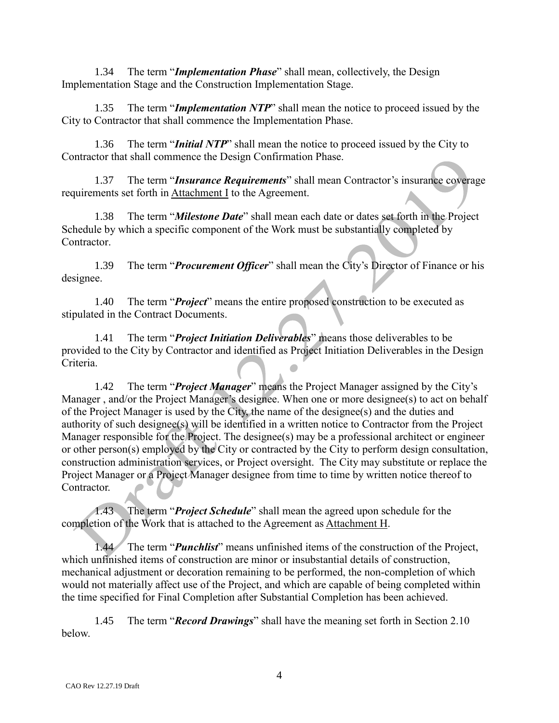1.34 The term "*Implementation Phase*" shall mean, collectively, the Design Implementation Stage and the Construction Implementation Stage.

1.35 The term "*Implementation NTP*" shall mean the notice to proceed issued by the City to Contractor that shall commence the Implementation Phase.

1.36 The term "*Initial NTP*" shall mean the notice to proceed issued by the City to Contractor that shall commence the Design Confirmation Phase.

1.37 The term "*Insurance Requirements*" shall mean Contractor's insurance coverage requirements set forth in Attachment I to the Agreement.

1.38 The term "*Milestone Date*" shall mean each date or dates set forth in the Project Schedule by which a specific component of the Work must be substantially completed by Contractor.

1.39 The term "*Procurement Officer*" shall mean the City's Director of Finance or his designee.

1.40 The term "*Project*" means the entire proposed construction to be executed as stipulated in the Contract Documents.

1.41 The term "*Project Initiation Deliverables*" means those deliverables to be provided to the City by Contractor and identified as Project Initiation Deliverables in the Design Criteria.

1.42 The term "*Project Manager*" means the Project Manager assigned by the City's Manager, and/or the Project Manager's designee. When one or more designee(s) to act on behalf of the Project Manager is used by the City, the name of the designee(s) and the duties and authority of such designee(s) will be identified in a written notice to Contractor from the Project Manager responsible for the Project. The designee(s) may be a professional architect or engineer or other person(s) employed by the City or contracted by the City to perform design consultation, construction administration services, or Project oversight. The City may substitute or replace the Project Manager or a Project Manager designee from time to time by written notice thereof to Contractor.

1.43 The term "*Project Schedule*" shall mean the agreed upon schedule for the completion of the Work that is attached to the Agreement as Attachment H.

1.44 The term "*Punchlist*" means unfinished items of the construction of the Project, which unfinished items of construction are minor or insubstantial details of construction, mechanical adjustment or decoration remaining to be performed, the non-completion of which would not materially affect use of the Project, and which are capable of being completed within the time specified for Final Completion after Substantial Completion has been achieved.

1.45 The term "*Record Drawings*" shall have the meaning set forth in Section [2.10](#page-10-0) below.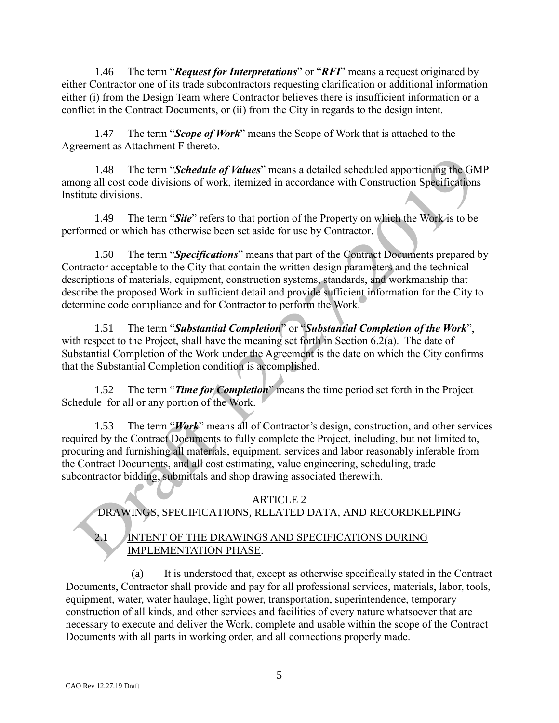1.46 The term "*Request for Interpretations*" or "*RFI*" means a request originated by either Contractor one of its trade subcontractors requesting clarification or additional information either (i) from the Design Team where Contractor believes there is insufficient information or a conflict in the Contract Documents, or (ii) from the City in regards to the design intent.

1.47 The term "*Scope of Work*" means the Scope of Work that is attached to the Agreement as Attachment F thereto.

1.48 The term "*Schedule of Values*" means a detailed scheduled apportioning the GMP among all cost code divisions of work, itemized in accordance with Construction Specifications Institute divisions.

1.49 The term "*Site*" refers to that portion of the Property on which the Work is to be performed or which has otherwise been set aside for use by Contractor.

1.50 The term "*Specifications*" means that part of the Contract Documents prepared by Contractor acceptable to the City that contain the written design parameters and the technical descriptions of materials, equipment, construction systems, standards, and workmanship that describe the proposed Work in sufficient detail and provide sufficient information for the City to determine code compliance and for Contractor to perform the Work.

1.51 The term "*Substantial Completion*" or "*Substantial Completion of the Work*", with respect to the Project, shall have the meaning set forth in Section 6.2(a). The date of Substantial Completion of the Work under the Agreement is the date on which the City confirms that the Substantial Completion condition is accomplished.

1.52 The term "*Time for Completion*" means the time period set forth in the Project Schedule for all or any portion of the Work.

1.53 The term "*Work*" means all of Contractor's design, construction, and other services required by the Contract Documents to fully complete the Project, including, but not limited to, procuring and furnishing all materials, equipment, services and labor reasonably inferable from the Contract Documents, and all cost estimating, value engineering, scheduling, trade subcontractor bidding, submittals and shop drawing associated therewith.

## ARTICLE 2

DRAWINGS, SPECIFICATIONS, RELATED DATA, AND RECORDKEEPING

## 2.1 INTENT OF THE DRAWINGS AND SPECIFICATIONS DURING IMPLEMENTATION PHASE.

(a) It is understood that, except as otherwise specifically stated in the Contract Documents, Contractor shall provide and pay for all professional services, materials, labor, tools, equipment, water, water haulage, light power, transportation, superintendence, temporary construction of all kinds, and other services and facilities of every nature whatsoever that are necessary to execute and deliver the Work, complete and usable within the scope of the Contract Documents with all parts in working order, and all connections properly made.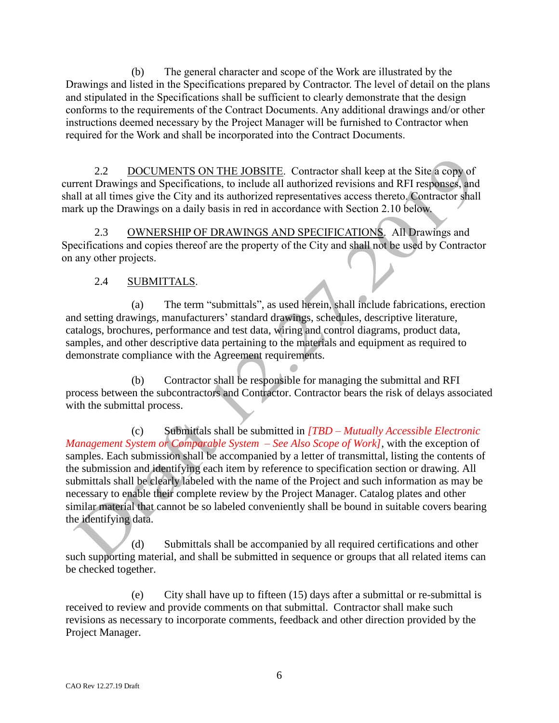(b) The general character and scope of the Work are illustrated by the Drawings and listed in the Specifications prepared by Contractor. The level of detail on the plans and stipulated in the Specifications shall be sufficient to clearly demonstrate that the design conforms to the requirements of the Contract Documents. Any additional drawings and/or other instructions deemed necessary by the Project Manager will be furnished to Contractor when required for the Work and shall be incorporated into the Contract Documents.

2.2 DOCUMENTS ON THE JOBSITE. Contractor shall keep at the Site a copy of current Drawings and Specifications, to include all authorized revisions and RFI responses, and shall at all times give the City and its authorized representatives access thereto. Contractor shall mark up the Drawings on a daily basis in red in accordance with Section [2.10](#page-10-0) below.

2.3 OWNERSHIP OF DRAWINGS AND SPECIFICATIONS. All Drawings and Specifications and copies thereof are the property of the City and shall not be used by Contractor on any other projects.

## 2.4 SUBMITTALS.

(a) The term "submittals", as used herein, shall include fabrications, erection and setting drawings, manufacturers' standard drawings, schedules, descriptive literature, catalogs, brochures, performance and test data, wiring and control diagrams, product data, samples, and other descriptive data pertaining to the materials and equipment as required to demonstrate compliance with the Agreement requirements.

(b) Contractor shall be responsible for managing the submittal and RFI process between the subcontractors and Contractor. Contractor bears the risk of delays associated with the submittal process.

(c) Submittals shall be submitted in *[TBD – Mutually Accessible Electronic Management System or Comparable System – See Also Scope of Work]*, with the exception of samples. Each submission shall be accompanied by a letter of transmittal, listing the contents of the submission and identifying each item by reference to specification section or drawing. All submittals shall be clearly labeled with the name of the Project and such information as may be necessary to enable their complete review by the Project Manager. Catalog plates and other similar material that cannot be so labeled conveniently shall be bound in suitable covers bearing the identifying data.

(d) Submittals shall be accompanied by all required certifications and other such supporting material, and shall be submitted in sequence or groups that all related items can be checked together.

(e) City shall have up to fifteen (15) days after a submittal or re-submittal is received to review and provide comments on that submittal. Contractor shall make such revisions as necessary to incorporate comments, feedback and other direction provided by the Project Manager.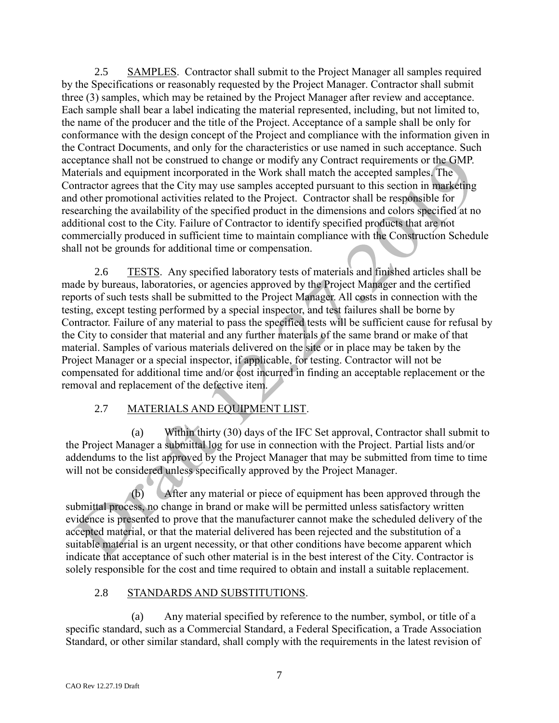2.5 SAMPLES. Contractor shall submit to the Project Manager all samples required by the Specifications or reasonably requested by the Project Manager. Contractor shall submit three (3) samples, which may be retained by the Project Manager after review and acceptance. Each sample shall bear a label indicating the material represented, including, but not limited to, the name of the producer and the title of the Project. Acceptance of a sample shall be only for conformance with the design concept of the Project and compliance with the information given in the Contract Documents, and only for the characteristics or use named in such acceptance. Such acceptance shall not be construed to change or modify any Contract requirements or the GMP. Materials and equipment incorporated in the Work shall match the accepted samples. The Contractor agrees that the City may use samples accepted pursuant to this section in marketing and other promotional activities related to the Project. Contractor shall be responsible for researching the availability of the specified product in the dimensions and colors specified at no additional cost to the City. Failure of Contractor to identify specified products that are not commercially produced in sufficient time to maintain compliance with the Construction Schedule shall not be grounds for additional time or compensation.

2.6 TESTS. Any specified laboratory tests of materials and finished articles shall be made by bureaus, laboratories, or agencies approved by the Project Manager and the certified reports of such tests shall be submitted to the Project Manager. All costs in connection with the testing, except testing performed by a special inspector, and test failures shall be borne by Contractor. Failure of any material to pass the specified tests will be sufficient cause for refusal by the City to consider that material and any further materials of the same brand or make of that material. Samples of various materials delivered on the site or in place may be taken by the Project Manager or a special inspector, if applicable, for testing. Contractor will not be compensated for additional time and/or cost incurred in finding an acceptable replacement or the removal and replacement of the defective item.

# 2.7 MATERIALS AND EQUIPMENT LIST.

(a) Within thirty (30) days of the IFC Set approval, Contractor shall submit to the Project Manager a submittal log for use in connection with the Project. Partial lists and/or addendums to the list approved by the Project Manager that may be submitted from time to time will not be considered unless specifically approved by the Project Manager.

(b) After any material or piece of equipment has been approved through the submittal process, no change in brand or make will be permitted unless satisfactory written evidence is presented to prove that the manufacturer cannot make the scheduled delivery of the accepted material, or that the material delivered has been rejected and the substitution of a suitable material is an urgent necessity, or that other conditions have become apparent which indicate that acceptance of such other material is in the best interest of the City. Contractor is solely responsible for the cost and time required to obtain and install a suitable replacement.

# 2.8 STANDARDS AND SUBSTITUTIONS.

(a) Any material specified by reference to the number, symbol, or title of a specific standard, such as a Commercial Standard, a Federal Specification, a Trade Association Standard, or other similar standard, shall comply with the requirements in the latest revision of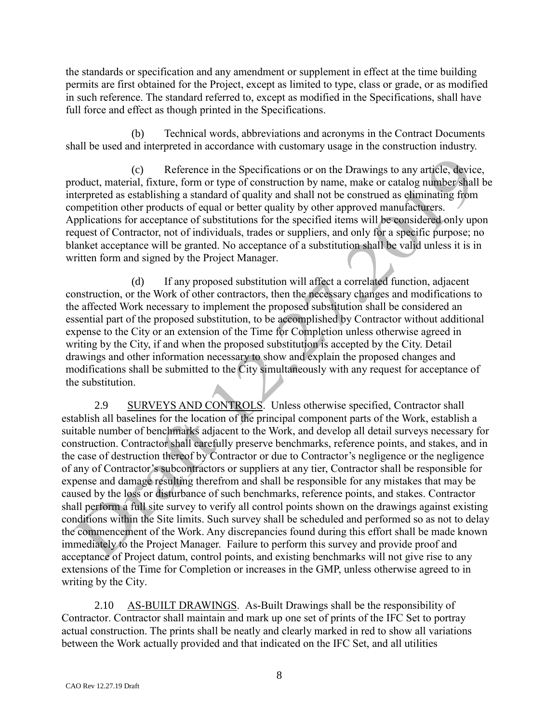the standards or specification and any amendment or supplement in effect at the time building permits are first obtained for the Project, except as limited to type, class or grade, or as modified in such reference. The standard referred to, except as modified in the Specifications, shall have full force and effect as though printed in the Specifications.

(b) Technical words, abbreviations and acronyms in the Contract Documents shall be used and interpreted in accordance with customary usage in the construction industry.

(c) Reference in the Specifications or on the Drawings to any article, device, product, material, fixture, form or type of construction by name, make or catalog number shall be interpreted as establishing a standard of quality and shall not be construed as eliminating from competition other products of equal or better quality by other approved manufacturers. Applications for acceptance of substitutions for the specified items will be considered only upon request of Contractor, not of individuals, trades or suppliers, and only for a specific purpose; no blanket acceptance will be granted. No acceptance of a substitution shall be valid unless it is in written form and signed by the Project Manager.

(d) If any proposed substitution will affect a correlated function, adjacent construction, or the Work of other contractors, then the necessary changes and modifications to the affected Work necessary to implement the proposed substitution shall be considered an essential part of the proposed substitution, to be accomplished by Contractor without additional expense to the City or an extension of the Time for Completion unless otherwise agreed in writing by the City, if and when the proposed substitution is accepted by the City. Detail drawings and other information necessary to show and explain the proposed changes and modifications shall be submitted to the City simultaneously with any request for acceptance of the substitution.

2.9 SURVEYS AND CONTROLS. Unless otherwise specified, Contractor shall establish all baselines for the location of the principal component parts of the Work, establish a suitable number of benchmarks adjacent to the Work, and develop all detail surveys necessary for construction. Contractor shall carefully preserve benchmarks, reference points, and stakes, and in the case of destruction thereof by Contractor or due to Contractor's negligence or the negligence of any of Contractor's subcontractors or suppliers at any tier, Contractor shall be responsible for expense and damage resulting therefrom and shall be responsible for any mistakes that may be caused by the loss or disturbance of such benchmarks, reference points, and stakes. Contractor shall perform a full site survey to verify all control points shown on the drawings against existing conditions within the Site limits. Such survey shall be scheduled and performed so as not to delay the commencement of the Work. Any discrepancies found during this effort shall be made known immediately to the Project Manager. Failure to perform this survey and provide proof and acceptance of Project datum, control points, and existing benchmarks will not give rise to any extensions of the Time for Completion or increases in the GMP, unless otherwise agreed to in writing by the City.

<span id="page-10-0"></span>2.10 AS-BUILT DRAWINGS. As-Built Drawings shall be the responsibility of Contractor. Contractor shall maintain and mark up one set of prints of the IFC Set to portray actual construction. The prints shall be neatly and clearly marked in red to show all variations between the Work actually provided and that indicated on the IFC Set, and all utilities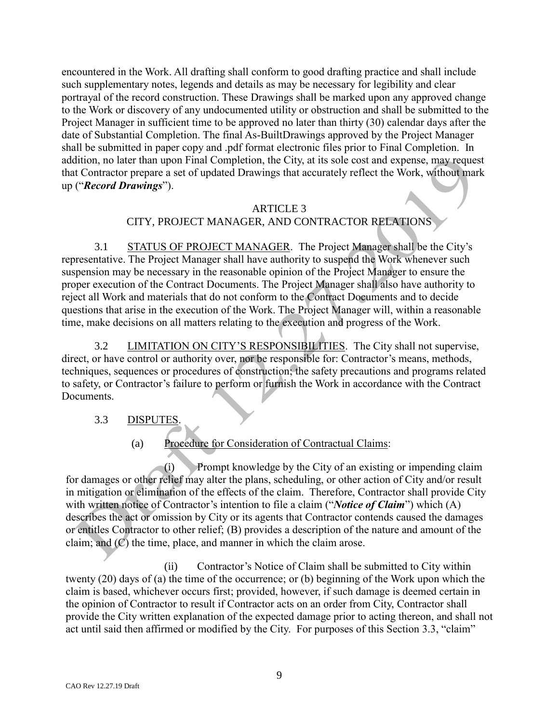encountered in the Work. All drafting shall conform to good drafting practice and shall include such supplementary notes, legends and details as may be necessary for legibility and clear portrayal of the record construction. These Drawings shall be marked upon any approved change to the Work or discovery of any undocumented utility or obstruction and shall be submitted to the Project Manager in sufficient time to be approved no later than thirty (30) calendar days after the date of Substantial Completion. The final As-BuiltDrawings approved by the Project Manager shall be submitted in paper copy and .pdf format electronic files prior to Final Completion. In addition, no later than upon Final Completion, the City, at its sole cost and expense, may request that Contractor prepare a set of updated Drawings that accurately reflect the Work, without mark up ("*Record Drawings*").

#### ARTICLE 3

## CITY, PROJECT MANAGER, AND CONTRACTOR RELATIONS

3.1 STATUS OF PROJECT MANAGER. The Project Manager shall be the City's representative. The Project Manager shall have authority to suspend the Work whenever such suspension may be necessary in the reasonable opinion of the Project Manager to ensure the proper execution of the Contract Documents. The Project Manager shall also have authority to reject all Work and materials that do not conform to the Contract Documents and to decide questions that arise in the execution of the Work. The Project Manager will, within a reasonable time, make decisions on all matters relating to the execution and progress of the Work.

3.2 LIMITATION ON CITY'S RESPONSIBILITIES. The City shall not supervise, direct, or have control or authority over, nor be responsible for: Contractor's means, methods, techniques, sequences or procedures of construction; the safety precautions and programs related to safety, or Contractor's failure to perform or furnish the Work in accordance with the Contract Documents.

- <span id="page-11-0"></span>3.3 DISPUTES.
	- (a) Procedure for Consideration of Contractual Claims:

(i) Prompt knowledge by the City of an existing or impending claim for damages or other relief may alter the plans, scheduling, or other action of City and/or result in mitigation or elimination of the effects of the claim. Therefore, Contractor shall provide City with written notice of Contractor's intention to file a claim ("*Notice of Claim*") which (A) describes the act or omission by City or its agents that Contractor contends caused the damages or entitles Contractor to other relief; (B) provides a description of the nature and amount of the claim; and  $(C)$  the time, place, and manner in which the claim arose.

(ii) Contractor's Notice of Claim shall be submitted to City within twenty (20) days of (a) the time of the occurrence; or (b) beginning of the Work upon which the claim is based, whichever occurs first; provided, however, if such damage is deemed certain in the opinion of Contractor to result if Contractor acts on an order from City, Contractor shall provide the City written explanation of the expected damage prior to acting thereon, and shall not act until said then affirmed or modified by the City. For purposes of this Section [3.3,](#page-11-0) "claim"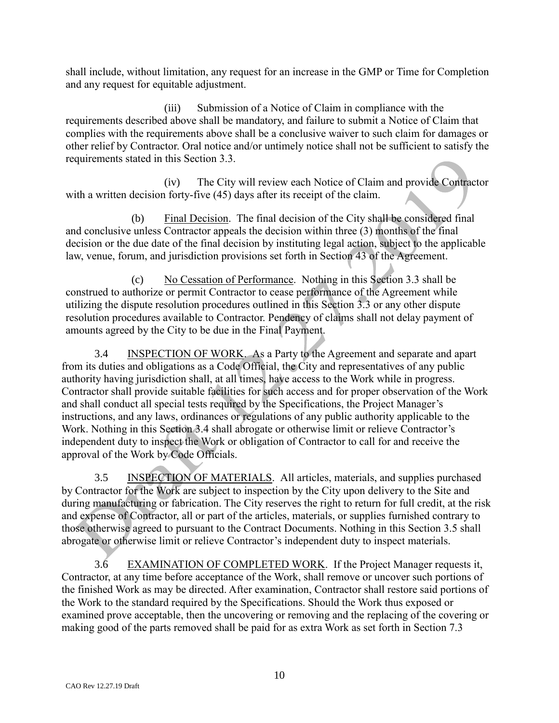shall include, without limitation, any request for an increase in the GMP or Time for Completion and any request for equitable adjustment.

(iii) Submission of a Notice of Claim in compliance with the requirements described above shall be mandatory, and failure to submit a Notice of Claim that complies with the requirements above shall be a conclusive waiver to such claim for damages or other relief by Contractor. Oral notice and/or untimely notice shall not be sufficient to satisfy the requirements stated in this Section 3.3.

(iv) The City will review each Notice of Claim and provide Contractor with a written decision forty-five (45) days after its receipt of the claim.

(b) Final Decision. The final decision of the City shall be considered final and conclusive unless Contractor appeals the decision within three (3) months of the final decision or the due date of the final decision by instituting legal action, subject to the applicable law, venue, forum, and jurisdiction provisions set forth in Section 43 of the Agreement.

(c) No Cessation of Performance. Nothing in this Section [3.3](#page-11-0) shall be construed to authorize or permit Contractor to cease performance of the Agreement while utilizing the dispute resolution procedures outlined in this Section [3.3](#page-11-0) or any other dispute resolution procedures available to Contractor. Pendency of claims shall not delay payment of amounts agreed by the City to be due in the Final Payment.

<span id="page-12-0"></span>3.4 INSPECTION OF WORK. As a Party to the Agreement and separate and apart from its duties and obligations as a Code Official, the City and representatives of any public authority having jurisdiction shall, at all times, have access to the Work while in progress. Contractor shall provide suitable facilities for such access and for proper observation of the Work and shall conduct all special tests required by the Specifications, the Project Manager's instructions, and any laws, ordinances or regulations of any public authority applicable to the Work. Nothing in this Section [3.4](#page-12-0) shall abrogate or otherwise limit or relieve Contractor's independent duty to inspect the Work or obligation of Contractor to call for and receive the approval of the Work by Code Officials.

<span id="page-12-1"></span>3.5 INSPECTION OF MATERIALS. All articles, materials, and supplies purchased by Contractor for the Work are subject to inspection by the City upon delivery to the Site and during manufacturing or fabrication. The City reserves the right to return for full credit, at the risk and expense of Contractor, all or part of the articles, materials, or supplies furnished contrary to those otherwise agreed to pursuant to the Contract Documents. Nothing in this Section [3.5](#page-12-1) shall abrogate or otherwise limit or relieve Contractor's independent duty to inspect materials.

3.6 EXAMINATION OF COMPLETED WORK. If the Project Manager requests it, Contractor, at any time before acceptance of the Work, shall remove or uncover such portions of the finished Work as may be directed. After examination, Contractor shall restore said portions of the Work to the standard required by the Specifications. Should the Work thus exposed or examined prove acceptable, then the uncovering or removing and the replacing of the covering or making good of the parts removed shall be paid for as extra Work as set forth in Section 7.3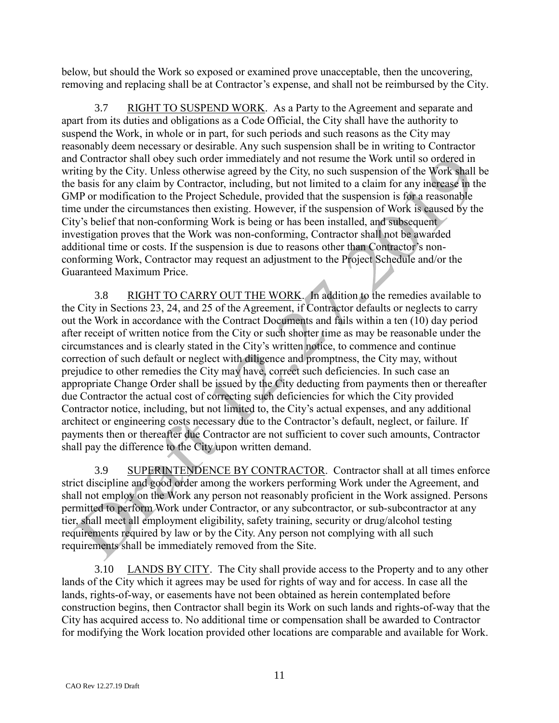below, but should the Work so exposed or examined prove unacceptable, then the uncovering, removing and replacing shall be at Contractor's expense, and shall not be reimbursed by the City.

3.7 RIGHT TO SUSPEND WORK. As a Party to the Agreement and separate and apart from its duties and obligations as a Code Official, the City shall have the authority to suspend the Work, in whole or in part, for such periods and such reasons as the City may reasonably deem necessary or desirable. Any such suspension shall be in writing to Contractor and Contractor shall obey such order immediately and not resume the Work until so ordered in writing by the City. Unless otherwise agreed by the City, no such suspension of the Work shall be the basis for any claim by Contractor, including, but not limited to a claim for any increase in the GMP or modification to the Project Schedule, provided that the suspension is for a reasonable time under the circumstances then existing. However, if the suspension of Work is caused by the City's belief that non-conforming Work is being or has been installed, and subsequent investigation proves that the Work was non-conforming, Contractor shall not be awarded additional time or costs. If the suspension is due to reasons other than Contractor's nonconforming Work, Contractor may request an adjustment to the Project Schedule and/or the Guaranteed Maximum Price.

3.8 RIGHT TO CARRY OUT THE WORK. In addition to the remedies available to the City in Sections 23, 24, and 25 of the Agreement, if Contractor defaults or neglects to carry out the Work in accordance with the Contract Documents and fails within a ten (10) day period after receipt of written notice from the City or such shorter time as may be reasonable under the circumstances and is clearly stated in the City's written notice, to commence and continue correction of such default or neglect with diligence and promptness, the City may, without prejudice to other remedies the City may have, correct such deficiencies. In such case an appropriate Change Order shall be issued by the City deducting from payments then or thereafter due Contractor the actual cost of correcting such deficiencies for which the City provided Contractor notice, including, but not limited to, the City's actual expenses, and any additional architect or engineering costs necessary due to the Contractor's default, neglect, or failure. If payments then or thereafter due Contractor are not sufficient to cover such amounts, Contractor shall pay the difference to the City upon written demand.

3.9 SUPERINTENDENCE BY CONTRACTOR. Contractor shall at all times enforce strict discipline and good order among the workers performing Work under the Agreement, and shall not employ on the Work any person not reasonably proficient in the Work assigned. Persons permitted to perform Work under Contractor, or any subcontractor, or sub-subcontractor at any tier, shall meet all employment eligibility, safety training, security or drug/alcohol testing requirements required by law or by the City. Any person not complying with all such requirements shall be immediately removed from the Site.

3.10 LANDS BY CITY. The City shall provide access to the Property and to any other lands of the City which it agrees may be used for rights of way and for access. In case all the lands, rights-of-way, or easements have not been obtained as herein contemplated before construction begins, then Contractor shall begin its Work on such lands and rights-of-way that the City has acquired access to. No additional time or compensation shall be awarded to Contractor for modifying the Work location provided other locations are comparable and available for Work.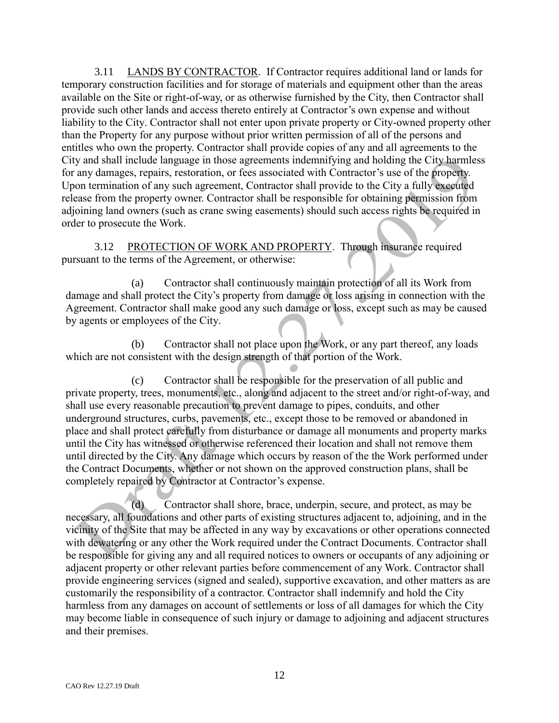3.11 LANDS BY CONTRACTOR. If Contractor requires additional land or lands for temporary construction facilities and for storage of materials and equipment other than the areas available on the Site or right-of-way, or as otherwise furnished by the City, then Contractor shall provide such other lands and access thereto entirely at Contractor's own expense and without liability to the City. Contractor shall not enter upon private property or City-owned property other than the Property for any purpose without prior written permission of all of the persons and entitles who own the property. Contractor shall provide copies of any and all agreements to the City and shall include language in those agreements indemnifying and holding the City harmless for any damages, repairs, restoration, or fees associated with Contractor's use of the property. Upon termination of any such agreement, Contractor shall provide to the City a fully executed release from the property owner. Contractor shall be responsible for obtaining permission from adjoining land owners (such as crane swing easements) should such access rights be required in order to prosecute the Work.

3.12 PROTECTION OF WORK AND PROPERTY. Through insurance required pursuant to the terms of the Agreement, or otherwise:

(a) Contractor shall continuously maintain protection of all its Work from damage and shall protect the City's property from damage or loss arising in connection with the Agreement. Contractor shall make good any such damage or loss, except such as may be caused by agents or employees of the City.

(b) Contractor shall not place upon the Work, or any part thereof, any loads which are not consistent with the design strength of that portion of the Work.

(c) Contractor shall be responsible for the preservation of all public and private property, trees, monuments, etc., along and adjacent to the street and/or right-of-way, and shall use every reasonable precaution to prevent damage to pipes, conduits, and other underground structures, curbs, pavements, etc., except those to be removed or abandoned in place and shall protect carefully from disturbance or damage all monuments and property marks until the City has witnessed or otherwise referenced their location and shall not remove them until directed by the City. Any damage which occurs by reason of the the Work performed under the Contract Documents, whether or not shown on the approved construction plans, shall be completely repaired by Contractor at Contractor's expense.

(d) Contractor shall shore, brace, underpin, secure, and protect, as may be necessary, all foundations and other parts of existing structures adjacent to, adjoining, and in the vicinity of the Site that may be affected in any way by excavations or other operations connected with dewatering or any other the Work required under the Contract Documents. Contractor shall be responsible for giving any and all required notices to owners or occupants of any adjoining or adjacent property or other relevant parties before commencement of any Work. Contractor shall provide engineering services (signed and sealed), supportive excavation, and other matters as are customarily the responsibility of a contractor. Contractor shall indemnify and hold the City harmless from any damages on account of settlements or loss of all damages for which the City may become liable in consequence of such injury or damage to adjoining and adjacent structures and their premises.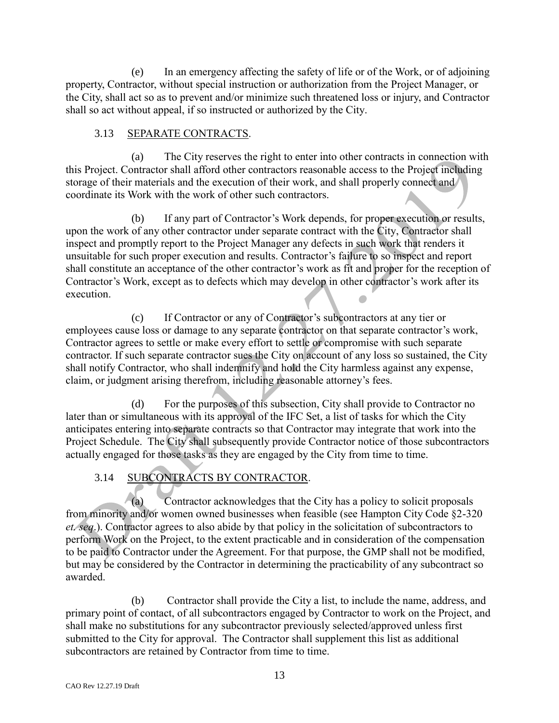(e) In an emergency affecting the safety of life or of the Work, or of adjoining property, Contractor, without special instruction or authorization from the Project Manager, or the City, shall act so as to prevent and/or minimize such threatened loss or injury, and Contractor shall so act without appeal, if so instructed or authorized by the City.

## 3.13 SEPARATE CONTRACTS.

(a) The City reserves the right to enter into other contracts in connection with this Project. Contractor shall afford other contractors reasonable access to the Project including storage of their materials and the execution of their work, and shall properly connect and coordinate its Work with the work of other such contractors.

(b) If any part of Contractor's Work depends, for proper execution or results, upon the work of any other contractor under separate contract with the City, Contractor shall inspect and promptly report to the Project Manager any defects in such work that renders it unsuitable for such proper execution and results. Contractor's failure to so inspect and report shall constitute an acceptance of the other contractor's work as fit and proper for the reception of Contractor's Work, except as to defects which may develop in other contractor's work after its execution.

(c) If Contractor or any of Contractor's subcontractors at any tier or employees cause loss or damage to any separate contractor on that separate contractor's work, Contractor agrees to settle or make every effort to settle or compromise with such separate contractor. If such separate contractor sues the City on account of any loss so sustained, the City shall notify Contractor, who shall indemnify and hold the City harmless against any expense, claim, or judgment arising therefrom, including reasonable attorney's fees.

(d) For the purposes of this subsection, City shall provide to Contractor no later than or simultaneous with its approval of the IFC Set, a list of tasks for which the City anticipates entering into separate contracts so that Contractor may integrate that work into the Project Schedule. The City shall subsequently provide Contractor notice of those subcontractors actually engaged for those tasks as they are engaged by the City from time to time.

# 3.14 SUBCONTRACTS BY CONTRACTOR.

(a) Contractor acknowledges that the City has a policy to solicit proposals from minority and/or women owned businesses when feasible (see Hampton City Code §2-320 *et. seq*.). Contractor agrees to also abide by that policy in the solicitation of subcontractors to perform Work on the Project, to the extent practicable and in consideration of the compensation to be paid to Contractor under the Agreement. For that purpose, the GMP shall not be modified, but may be considered by the Contractor in determining the practicability of any subcontract so awarded.

(b) Contractor shall provide the City a list, to include the name, address, and primary point of contact, of all subcontractors engaged by Contractor to work on the Project, and shall make no substitutions for any subcontractor previously selected/approved unless first submitted to the City for approval. The Contractor shall supplement this list as additional subcontractors are retained by Contractor from time to time.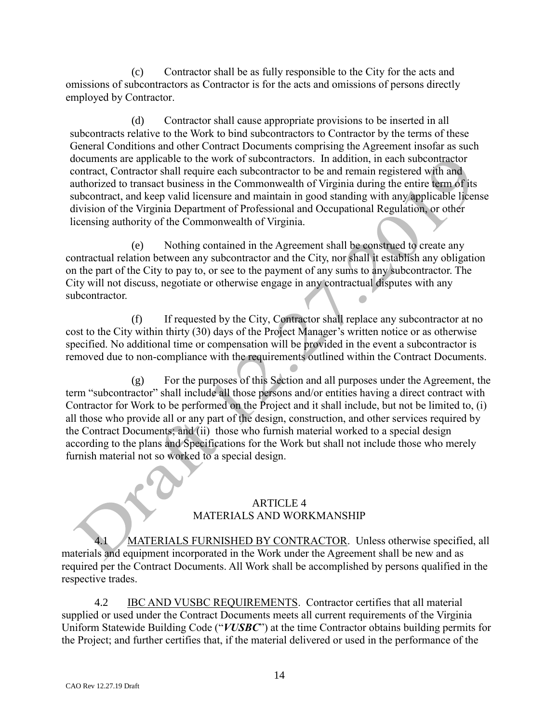(c) Contractor shall be as fully responsible to the City for the acts and omissions of subcontractors as Contractor is for the acts and omissions of persons directly employed by Contractor.

(d) Contractor shall cause appropriate provisions to be inserted in all subcontracts relative to the Work to bind subcontractors to Contractor by the terms of these General Conditions and other Contract Documents comprising the Agreement insofar as such documents are applicable to the work of subcontractors. In addition, in each subcontractor contract, Contractor shall require each subcontractor to be and remain registered with and authorized to transact business in the Commonwealth of Virginia during the entire term of its subcontract, and keep valid licensure and maintain in good standing with any applicable license division of the Virginia Department of Professional and Occupational Regulation, or other licensing authority of the Commonwealth of Virginia.

(e) Nothing contained in the Agreement shall be construed to create any contractual relation between any subcontractor and the City, nor shall it establish any obligation on the part of the City to pay to, or see to the payment of any sums to any subcontractor. The City will not discuss, negotiate or otherwise engage in any contractual disputes with any subcontractor.

(f) If requested by the City, Contractor shall replace any subcontractor at no cost to the City within thirty (30) days of the Project Manager's written notice or as otherwise specified. No additional time or compensation will be provided in the event a subcontractor is removed due to non-compliance with the requirements outlined within the Contract Documents.

(g) For the purposes of this Section and all purposes under the Agreement, the term "subcontractor" shall include all those persons and/or entities having a direct contract with Contractor for Work to be performed on the Project and it shall include, but not be limited to, (i) all those who provide all or any part of the design, construction, and other services required by the Contract Documents; and (ii) those who furnish material worked to a special design according to the plans and Specifications for the Work but shall not include those who merely furnish material not so worked to a special design.

## ARTICLE 4 MATERIALS AND WORKMANSHIP

4.1 MATERIALS FURNISHED BY CONTRACTOR. Unless otherwise specified, all materials and equipment incorporated in the Work under the Agreement shall be new and as required per the Contract Documents. All Work shall be accomplished by persons qualified in the respective trades.

4.2 IBC AND VUSBC REQUIREMENTS. Contractor certifies that all material supplied or used under the Contract Documents meets all current requirements of the Virginia Uniform Statewide Building Code ("*VUSBC*") at the time Contractor obtains building permits for the Project; and further certifies that, if the material delivered or used in the performance of the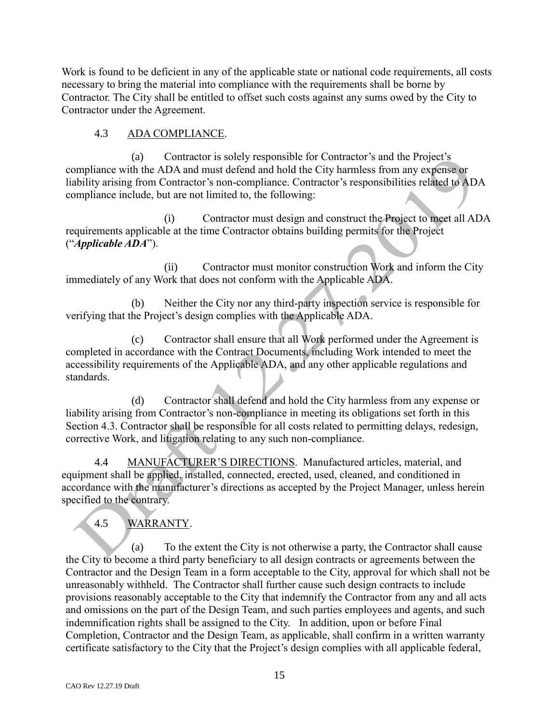Work is found to be deficient in any of the applicable state or national code requirements, all costs necessary to bring the material into compliance with the requirements shall be borne by Contractor. The City shall be entitled to offset such costs against any sums owed by the City to Contractor under the Agreement.

## 4.3 ADA COMPLIANCE.

(a) Contractor is solely responsible for Contractor's and the Project's compliance with the ADA and must defend and hold the City harmless from any expense or liability arising from Contractor's non-compliance. Contractor's responsibilities related to ADA compliance include, but are not limited to, the following:

(i) Contractor must design and construct the Project to meet all ADA requirements applicable at the time Contractor obtains building permits for the Project ("*Applicable ADA*").

(ii) Contractor must monitor construction Work and inform the City immediately of any Work that does not conform with the Applicable ADA.

(b) Neither the City nor any third-party inspection service is responsible for verifying that the Project's design complies with the Applicable ADA.

(c) Contractor shall ensure that all Work performed under the Agreement is completed in accordance with the Contract Documents, including Work intended to meet the accessibility requirements of the Applicable ADA, and any other applicable regulations and standards.

(d) Contractor shall defend and hold the City harmless from any expense or liability arising from Contractor's non-compliance in meeting its obligations set forth in this Section 4.3. Contractor shall be responsible for all costs related to permitting delays, redesign, corrective Work, and litigation relating to any such non-compliance.

4.4 MANUFACTURER'S DIRECTIONS. Manufactured articles, material, and equipment shall be applied, installed, connected, erected, used, cleaned, and conditioned in accordance with the manufacturer's directions as accepted by the Project Manager, unless herein specified to the contrary.

# 4.5 WARRANTY.

<span id="page-17-0"></span>(a) To the extent the City is not otherwise a party, the Contractor shall cause the City to become a third party beneficiary to all design contracts or agreements between the Contractor and the Design Team in a form acceptable to the City, approval for which shall not be unreasonably withheld. The Contractor shall further cause such design contracts to include provisions reasonably acceptable to the City that indemnify the Contractor from any and all acts and omissions on the part of the Design Team, and such parties employees and agents, and such indemnification rights shall be assigned to the City. In addition, upon or before Final Completion, Contractor and the Design Team, as applicable, shall confirm in a written warranty certificate satisfactory to the City that the Project's design complies with all applicable federal,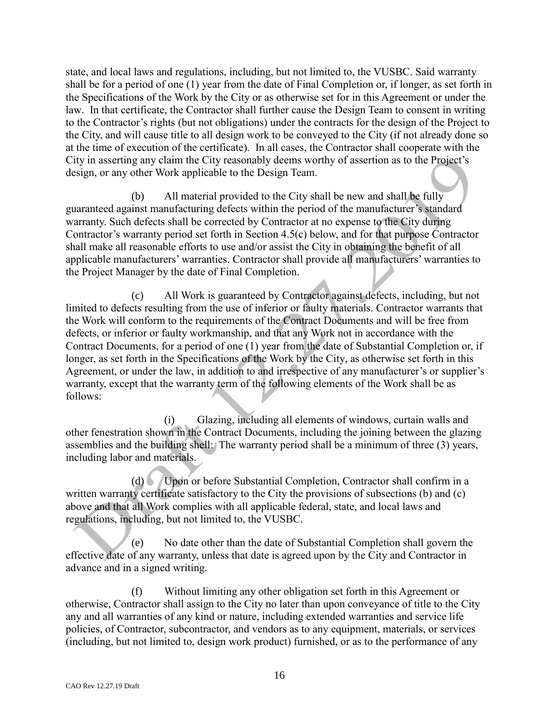state, and local laws and regulations, including, but not limited to, the VUSBC. Said warranty shall be for a period of one (1) year from the date of Final Completion or, if longer, as set forth in the Specifications of the Work by the City or as otherwise set for in this Agreement or under the law. In that certificate, the Contractor shall further cause the Design Team to consent in writing to the Contractor's rights (but not obligations) under the contracts for the design of the Project to the City, and will cause title to all design work to be conveyed to the City (if not already done so at the time of execution of the certificate). In all cases, the Contractor shall cooperate with the City in asserting any claim the City reasonably deems worthy of assertion as to the Project's design, or any other Work applicable to the Design Team.

(b) All material provided to the City shall be new and shall be fully guaranteed against manufacturing defects within the period of the manufacturer's standard warranty. Such defects shall be corrected by Contractor at no expense to the City during Contractor's warranty period set forth in Section 4.5(c) below, and for that purpose Contractor shall make all reasonable efforts to use and/or assist the City in obtaining the benefit of all applicable manufacturers' warranties. Contractor shall provide all manufacturers' warranties to the Project Manager by the date of Final Completion.

(c) All Work is guaranteed by Contractor against defects, including, but not limited to defects resulting from the use of inferior or faulty materials. Contractor warrants that the Work will conform to the requirements of the Contract Documents and will be free from defects, or inferior or faulty workmanship, and that any Work not in accordance with the Contract Documents, for a period of one (1) year from the date of Substantial Completion or, if longer, as set forth in the Specifications of the Work by the City, as otherwise set forth in this Agreement, or under the law, in addition to and irrespective of any manufacturer's or supplier's warranty, except that the warranty term of the following elements of the Work shall be as follows:

(i) Glazing, including all elements of windows, curtain walls and other fenestration shown in the Contract Documents, including the joining between the glazing assemblies and the building shell: The warranty period shall be a minimum of three (3) years, including labor and materials.

(d)  $\bigcup$  Upon or before Substantial Completion, Contractor shall confirm in a written warranty certificate satisfactory to the City the provisions of subsections (b) and (c) above and that all Work complies with all applicable federal, state, and local laws and regulations, including, but not limited to, the VUSBC.

(e) No date other than the date of Substantial Completion shall govern the effective date of any warranty, unless that date is agreed upon by the City and Contractor in advance and in a signed writing.

(f) Without limiting any other obligation set forth in this Agreement or otherwise, Contractor shall assign to the City no later than upon conveyance of title to the City any and all warranties of any kind or nature, including extended warranties and service life policies, of Contractor, subcontractor, and vendors as to any equipment, materials, or services (including, but not limited to, design work product) furnished, or as to the performance of any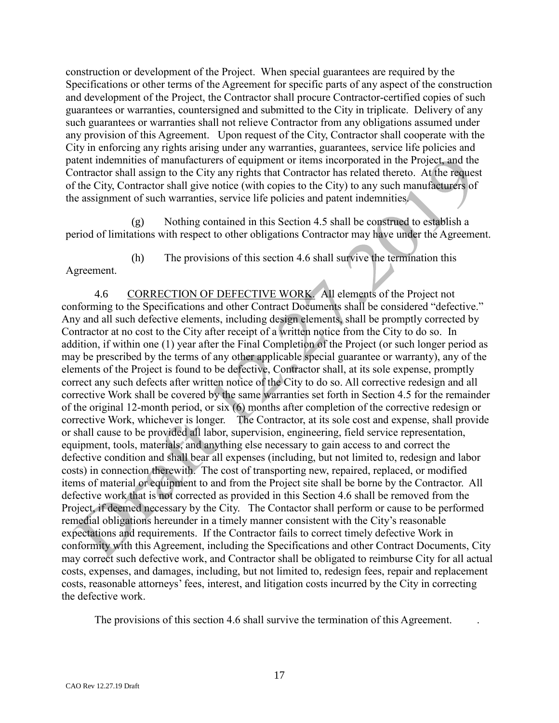construction or development of the Project. When special guarantees are required by the Specifications or other terms of the Agreement for specific parts of any aspect of the construction and development of the Project, the Contractor shall procure Contractor-certified copies of such guarantees or warranties, countersigned and submitted to the City in triplicate. Delivery of any such guarantees or warranties shall not relieve Contractor from any obligations assumed under any provision of this Agreement. Upon request of the City, Contractor shall cooperate with the City in enforcing any rights arising under any warranties, guarantees, service life policies and patent indemnities of manufacturers of equipment or items incorporated in the Project, and the Contractor shall assign to the City any rights that Contractor has related thereto. At the request of the City, Contractor shall give notice (with copies to the City) to any such manufacturers of the assignment of such warranties, service life policies and patent indemnities.

(g) Nothing contained in this Section [4.5](#page-17-0) shall be construed to establish a period of limitations with respect to other obligations Contractor may have under the Agreement.

Agreement.

(h) The provisions of this section 4.6 shall survive the termination this

4.6 CORRECTION OF DEFECTIVE WORK. All elements of the Project not conforming to the Specifications and other Contract Documents shall be considered "defective." Any and all such defective elements, including design elements, shall be promptly corrected by Contractor at no cost to the City after receipt of a written notice from the City to do so. In addition, if within one (1) year after the Final Completion of the Project (or such longer period as may be prescribed by the terms of any other applicable special guarantee or warranty), any of the elements of the Project is found to be defective, Contractor shall, at its sole expense, promptly correct any such defects after written notice of the City to do so. All corrective redesign and all corrective Work shall be covered by the same warranties set forth in Section 4.5 for the remainder of the original 12-month period, or six (6) months after completion of the corrective redesign or corrective Work, whichever is longer. The Contractor, at its sole cost and expense, shall provide or shall cause to be provided all labor, supervision, engineering, field service representation, equipment, tools, materials, and anything else necessary to gain access to and correct the defective condition and shall bear all expenses (including, but not limited to, redesign and labor costs) in connection therewith. The cost of transporting new, repaired, replaced, or modified items of material or equipment to and from the Project site shall be borne by the Contractor. All defective work that is not corrected as provided in this Section 4.6 shall be removed from the Project, if deemed necessary by the City. The Contactor shall perform or cause to be performed remedial obligations hereunder in a timely manner consistent with the City's reasonable expectations and requirements. If the Contractor fails to correct timely defective Work in conformity with this Agreement, including the Specifications and other Contract Documents, City may correct such defective work, and Contractor shall be obligated to reimburse City for all actual costs, expenses, and damages, including, but not limited to, redesign fees, repair and replacement costs, reasonable attorneys' fees, interest, and litigation costs incurred by the City in correcting the defective work.

The provisions of this section 4.6 shall survive the termination of this Agreement. .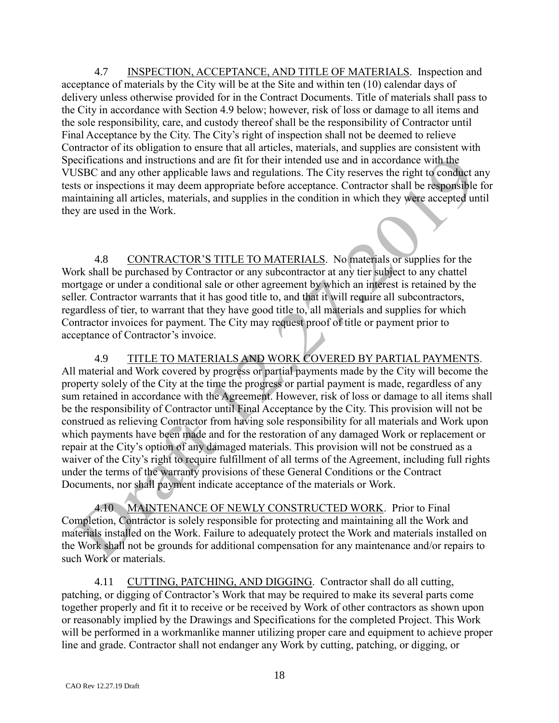4.7 INSPECTION, ACCEPTANCE, AND TITLE OF MATERIALS. Inspection and acceptance of materials by the City will be at the Site and within ten (10) calendar days of delivery unless otherwise provided for in the Contract Documents. Title of materials shall pass to the City in accordance with Section 4.9 below; however, risk of loss or damage to all items and the sole responsibility, care, and custody thereof shall be the responsibility of Contractor until Final Acceptance by the City. The City's right of inspection shall not be deemed to relieve Contractor of its obligation to ensure that all articles, materials, and supplies are consistent with Specifications and instructions and are fit for their intended use and in accordance with the VUSBC and any other applicable laws and regulations. The City reserves the right to conduct any tests or inspections it may deem appropriate before acceptance. Contractor shall be responsible for maintaining all articles, materials, and supplies in the condition in which they were accepted until they are used in the Work.

4.8 CONTRACTOR'S TITLE TO MATERIALS. No materials or supplies for the Work shall be purchased by Contractor or any subcontractor at any tier subject to any chattel mortgage or under a conditional sale or other agreement by which an interest is retained by the seller. Contractor warrants that it has good title to, and that it will require all subcontractors, regardless of tier, to warrant that they have good title to, all materials and supplies for which Contractor invoices for payment. The City may request proof of title or payment prior to acceptance of Contractor's invoice.

4.9 TITLE TO MATERIALS AND WORK COVERED BY PARTIAL PAYMENTS. All material and Work covered by progress or partial payments made by the City will become the property solely of the City at the time the progress or partial payment is made, regardless of any sum retained in accordance with the Agreement. However, risk of loss or damage to all items shall be the responsibility of Contractor until Final Acceptance by the City. This provision will not be construed as relieving Contractor from having sole responsibility for all materials and Work upon which payments have been made and for the restoration of any damaged Work or replacement or repair at the City's option of any damaged materials. This provision will not be construed as a waiver of the City's right to require fulfillment of all terms of the Agreement, including full rights under the terms of the warranty provisions of these General Conditions or the Contract Documents, nor shall payment indicate acceptance of the materials or Work.

4.10 MAINTENANCE OF NEWLY CONSTRUCTED WORK. Prior to Final Completion, Contractor is solely responsible for protecting and maintaining all the Work and materials installed on the Work. Failure to adequately protect the Work and materials installed on the Work shall not be grounds for additional compensation for any maintenance and/or repairs to such Work or materials.

4.11 CUTTING, PATCHING, AND DIGGING. Contractor shall do all cutting, patching, or digging of Contractor's Work that may be required to make its several parts come together properly and fit it to receive or be received by Work of other contractors as shown upon or reasonably implied by the Drawings and Specifications for the completed Project. This Work will be performed in a workmanlike manner utilizing proper care and equipment to achieve proper line and grade. Contractor shall not endanger any Work by cutting, patching, or digging, or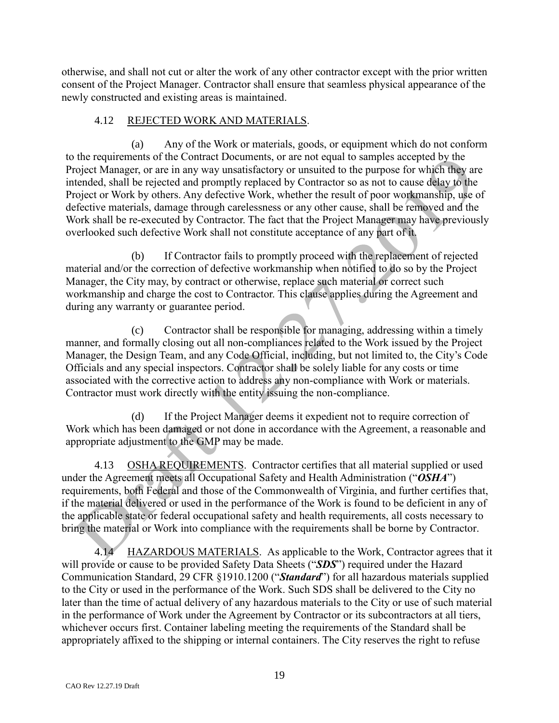otherwise, and shall not cut or alter the work of any other contractor except with the prior written consent of the Project Manager. Contractor shall ensure that seamless physical appearance of the newly constructed and existing areas is maintained.

## 4.12 REJECTED WORK AND MATERIALS.

(a) Any of the Work or materials, goods, or equipment which do not conform to the requirements of the Contract Documents, or are not equal to samples accepted by the Project Manager, or are in any way unsatisfactory or unsuited to the purpose for which they are intended, shall be rejected and promptly replaced by Contractor so as not to cause delay to the Project or Work by others. Any defective Work, whether the result of poor workmanship, use of defective materials, damage through carelessness or any other cause, shall be removed and the Work shall be re-executed by Contractor. The fact that the Project Manager may have previously overlooked such defective Work shall not constitute acceptance of any part of it.

(b) If Contractor fails to promptly proceed with the replacement of rejected material and/or the correction of defective workmanship when notified to do so by the Project Manager, the City may, by contract or otherwise, replace such material or correct such workmanship and charge the cost to Contractor. This clause applies during the Agreement and during any warranty or guarantee period.

(c) Contractor shall be responsible for managing, addressing within a timely manner, and formally closing out all non-compliances related to the Work issued by the Project Manager, the Design Team, and any Code Official, including, but not limited to, the City's Code Officials and any special inspectors. Contractor shall be solely liable for any costs or time associated with the corrective action to address any non-compliance with Work or materials. Contractor must work directly with the entity issuing the non-compliance.

(d) If the Project Manager deems it expedient not to require correction of Work which has been damaged or not done in accordance with the Agreement, a reasonable and appropriate adjustment to the GMP may be made.

4.13 OSHA REQUIREMENTS. Contractor certifies that all material supplied or used under the Agreement meets all Occupational Safety and Health Administration ("*OSHA*") requirements, both Federal and those of the Commonwealth of Virginia, and further certifies that, if the material delivered or used in the performance of the Work is found to be deficient in any of the applicable state or federal occupational safety and health requirements, all costs necessary to bring the material or Work into compliance with the requirements shall be borne by Contractor.

<span id="page-21-0"></span>4.14 HAZARDOUS MATERIALS. As applicable to the Work, Contractor agrees that it will provide or cause to be provided Safety Data Sheets ("*SDS*") required under the Hazard Communication Standard, 29 CFR §1910.1200 ("*Standard*") for all hazardous materials supplied to the City or used in the performance of the Work. Such SDS shall be delivered to the City no later than the time of actual delivery of any hazardous materials to the City or use of such material in the performance of Work under the Agreement by Contractor or its subcontractors at all tiers, whichever occurs first. Container labeling meeting the requirements of the Standard shall be appropriately affixed to the shipping or internal containers. The City reserves the right to refuse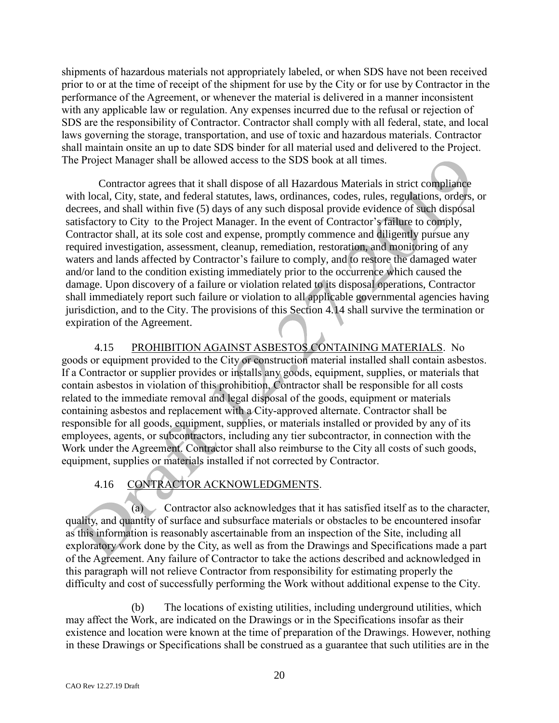shipments of hazardous materials not appropriately labeled, or when SDS have not been received prior to or at the time of receipt of the shipment for use by the City or for use by Contractor in the performance of the Agreement, or whenever the material is delivered in a manner inconsistent with any applicable law or regulation. Any expenses incurred due to the refusal or rejection of SDS are the responsibility of Contractor. Contractor shall comply with all federal, state, and local laws governing the storage, transportation, and use of toxic and hazardous materials. Contractor shall maintain onsite an up to date SDS binder for all material used and delivered to the Project. The Project Manager shall be allowed access to the SDS book at all times.

Contractor agrees that it shall dispose of all Hazardous Materials in strict compliance with local, City, state, and federal statutes, laws, ordinances, codes, rules, regulations, orders, or decrees, and shall within five (5) days of any such disposal provide evidence of such disposal satisfactory to City to the Project Manager. In the event of Contractor's failure to comply, Contractor shall, at its sole cost and expense, promptly commence and diligently pursue any required investigation, assessment, cleanup, remediation, restoration, and monitoring of any waters and lands affected by Contractor's failure to comply, and to restore the damaged water and/or land to the condition existing immediately prior to the occurrence which caused the damage. Upon discovery of a failure or violation related to its disposal operations, Contractor shall immediately report such failure or violation to all applicable governmental agencies having jurisdiction, and to the City. The provisions of this Section [4.14](#page-21-0) shall survive the termination or expiration of the Agreement.

4.15 PROHIBITION AGAINST ASBESTOS CONTAINING MATERIALS. No goods or equipment provided to the City or construction material installed shall contain asbestos. If a Contractor or supplier provides or installs any goods, equipment, supplies, or materials that contain asbestos in violation of this prohibition, Contractor shall be responsible for all costs related to the immediate removal and legal disposal of the goods, equipment or materials containing asbestos and replacement with a City-approved alternate. Contractor shall be responsible for all goods, equipment, supplies, or materials installed or provided by any of its employees, agents, or subcontractors, including any tier subcontractor, in connection with the Work under the Agreement. Contractor shall also reimburse to the City all costs of such goods, equipment, supplies or materials installed if not corrected by Contractor.

## 4.16 CONTRACTOR ACKNOWLEDGMENTS.

(a) Contractor also acknowledges that it has satisfied itself as to the character, quality, and quantity of surface and subsurface materials or obstacles to be encountered insofar as this information is reasonably ascertainable from an inspection of the Site, including all exploratory work done by the City, as well as from the Drawings and Specifications made a part of the Agreement. Any failure of Contractor to take the actions described and acknowledged in this paragraph will not relieve Contractor from responsibility for estimating properly the difficulty and cost of successfully performing the Work without additional expense to the City.

(b) The locations of existing utilities, including underground utilities, which may affect the Work, are indicated on the Drawings or in the Specifications insofar as their existence and location were known at the time of preparation of the Drawings. However, nothing in these Drawings or Specifications shall be construed as a guarantee that such utilities are in the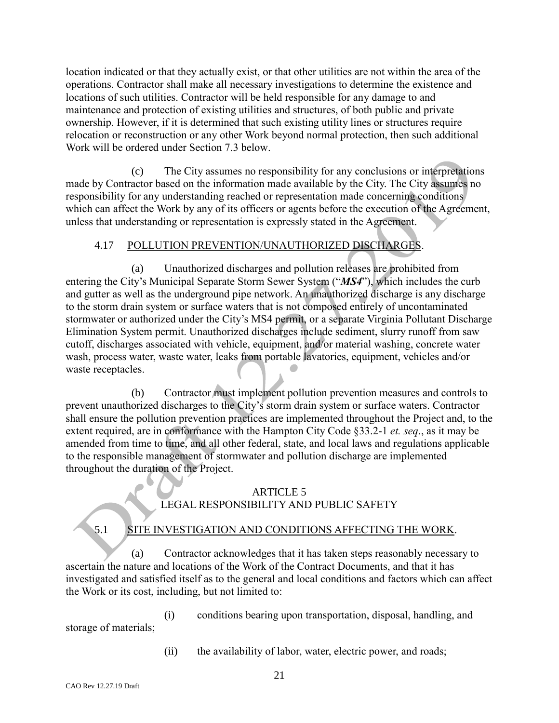location indicated or that they actually exist, or that other utilities are not within the area of the operations. Contractor shall make all necessary investigations to determine the existence and locations of such utilities. Contractor will be held responsible for any damage to and maintenance and protection of existing utilities and structures, of both public and private ownership. However, if it is determined that such existing utility lines or structures require relocation or reconstruction or any other Work beyond normal protection, then such additional Work will be ordered under Section [7.3](#page-31-0) below.

(c) The City assumes no responsibility for any conclusions or interpretations made by Contractor based on the information made available by the City. The City assumes no responsibility for any understanding reached or representation made concerning conditions which can affect the Work by any of its officers or agents before the execution of the Agreement, unless that understanding or representation is expressly stated in the Agreement.

## 4.17 POLLUTION PREVENTION/UNAUTHORIZED DISCHARGES.

(a) Unauthorized discharges and pollution releases are prohibited from entering the City's Municipal Separate Storm Sewer System ("*MS4*"), which includes the curb and gutter as well as the underground pipe network. An unauthorized discharge is any discharge to the storm drain system or surface waters that is not composed entirely of uncontaminated stormwater or authorized under the City's MS4 permit, or a separate Virginia Pollutant Discharge Elimination System permit. Unauthorized discharges include sediment, slurry runoff from saw cutoff, discharges associated with vehicle, equipment, and/or material washing, concrete water wash, process water, waste water, leaks from portable lavatories, equipment, vehicles and/or waste receptacles.

(b) Contractor must implement pollution prevention measures and controls to prevent unauthorized discharges to the City's storm drain system or surface waters. Contractor shall ensure the pollution prevention practices are implemented throughout the Project and, to the extent required, are in conformance with the Hampton City Code §33.2-1 *et. seq*., as it may be amended from time to time, and all other federal, state, and local laws and regulations applicable to the responsible management of stormwater and pollution discharge are implemented throughout the duration of the Project.

## ARTICLE 5 LEGAL RESPONSIBILITY AND PUBLIC SAFETY

# 5.1 SITE INVESTIGATION AND CONDITIONS AFFECTING THE WORK.

(a) Contractor acknowledges that it has taken steps reasonably necessary to ascertain the nature and locations of the Work of the Contract Documents, and that it has investigated and satisfied itself as to the general and local conditions and factors which can affect the Work or its cost, including, but not limited to:

(i) conditions bearing upon transportation, disposal, handling, and

storage of materials;

(ii) the availability of labor, water, electric power, and roads;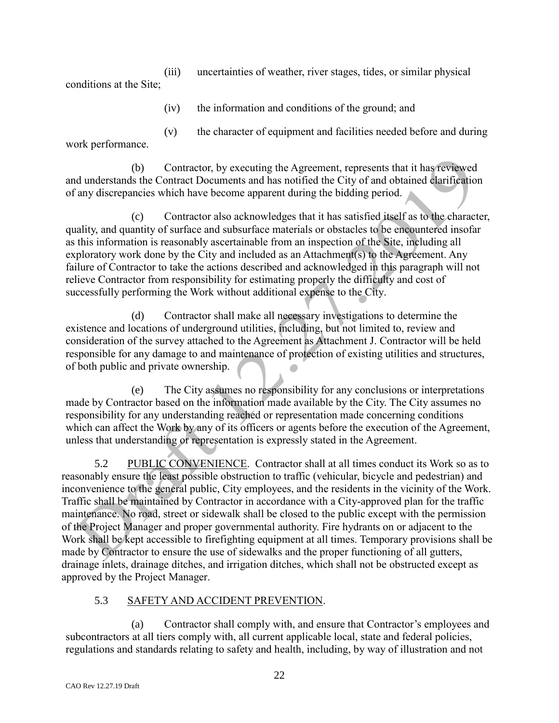(iii) uncertainties of weather, river stages, tides, or similar physical conditions at the Site;

- (iv) the information and conditions of the ground; and
- (v) the character of equipment and facilities needed before and during

work performance.

(b) Contractor, by executing the Agreement, represents that it has reviewed and understands the Contract Documents and has notified the City of and obtained clarification of any discrepancies which have become apparent during the bidding period.

(c) Contractor also acknowledges that it has satisfied itself as to the character, quality, and quantity of surface and subsurface materials or obstacles to be encountered insofar as this information is reasonably ascertainable from an inspection of the Site, including all exploratory work done by the City and included as an Attachment(s) to the Agreement. Any failure of Contractor to take the actions described and acknowledged in this paragraph will not relieve Contractor from responsibility for estimating properly the difficulty and cost of successfully performing the Work without additional expense to the City.

(d) Contractor shall make all necessary investigations to determine the existence and locations of underground utilities, including, but not limited to, review and consideration of the survey attached to the Agreement as Attachment J. Contractor will be held responsible for any damage to and maintenance of protection of existing utilities and structures, of both public and private ownership.

(e) The City assumes no responsibility for any conclusions or interpretations made by Contractor based on the information made available by the City. The City assumes no responsibility for any understanding reached or representation made concerning conditions which can affect the Work by any of its officers or agents before the execution of the Agreement, unless that understanding or representation is expressly stated in the Agreement.

5.2 PUBLIC CONVENIENCE. Contractor shall at all times conduct its Work so as to reasonably ensure the least possible obstruction to traffic (vehicular, bicycle and pedestrian) and inconvenience to the general public, City employees, and the residents in the vicinity of the Work. Traffic shall be maintained by Contractor in accordance with a City-approved plan for the traffic maintenance. No road, street or sidewalk shall be closed to the public except with the permission of the Project Manager and proper governmental authority. Fire hydrants on or adjacent to the Work shall be kept accessible to firefighting equipment at all times. Temporary provisions shall be made by Contractor to ensure the use of sidewalks and the proper functioning of all gutters, drainage inlets, drainage ditches, and irrigation ditches, which shall not be obstructed except as approved by the Project Manager.

## 5.3 SAFETY AND ACCIDENT PREVENTION.

(a) Contractor shall comply with, and ensure that Contractor's employees and subcontractors at all tiers comply with, all current applicable local, state and federal policies, regulations and standards relating to safety and health, including, by way of illustration and not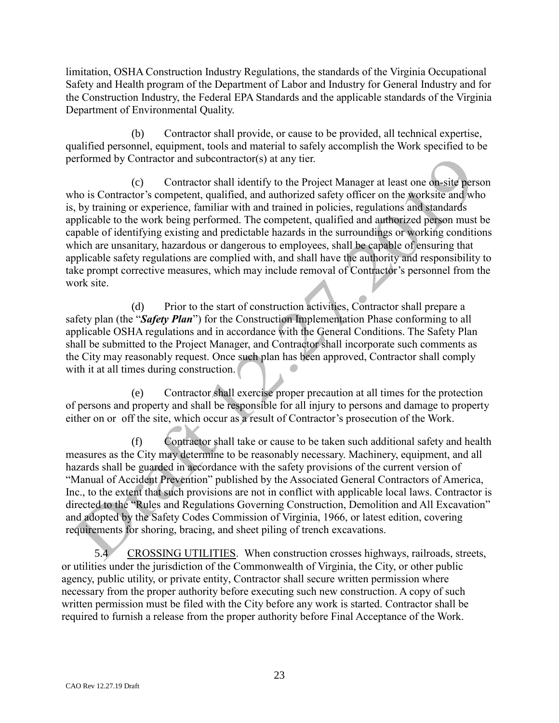limitation, OSHA Construction Industry Regulations, the standards of the Virginia Occupational Safety and Health program of the Department of Labor and Industry for General Industry and for the Construction Industry, the Federal EPA Standards and the applicable standards of the Virginia Department of Environmental Quality.

(b) Contractor shall provide, or cause to be provided, all technical expertise, qualified personnel, equipment, tools and material to safely accomplish the Work specified to be performed by Contractor and subcontractor(s) at any tier.

(c) Contractor shall identify to the Project Manager at least one on-site person who is Contractor's competent, qualified, and authorized safety officer on the worksite and who is, by training or experience, familiar with and trained in policies, regulations and standards applicable to the work being performed. The competent, qualified and authorized person must be capable of identifying existing and predictable hazards in the surroundings or working conditions which are unsanitary, hazardous or dangerous to employees, shall be capable of ensuring that applicable safety regulations are complied with, and shall have the authority and responsibility to take prompt corrective measures, which may include removal of Contractor's personnel from the work site.

(d) Prior to the start of construction activities, Contractor shall prepare a safety plan (the "*Safety Plan*") for the Construction Implementation Phase conforming to all applicable OSHA regulations and in accordance with the General Conditions. The Safety Plan shall be submitted to the Project Manager, and Contractor shall incorporate such comments as the City may reasonably request. Once such plan has been approved, Contractor shall comply with it at all times during construction.

(e) Contractor shall exercise proper precaution at all times for the protection of persons and property and shall be responsible for all injury to persons and damage to property either on or off the site, which occur as a result of Contractor's prosecution of the Work.

(f) Contractor shall take or cause to be taken such additional safety and health measures as the City may determine to be reasonably necessary. Machinery, equipment, and all hazards shall be guarded in accordance with the safety provisions of the current version of "Manual of Accident Prevention" published by the Associated General Contractors of America, Inc., to the extent that such provisions are not in conflict with applicable local laws. Contractor is directed to the "Rules and Regulations Governing Construction, Demolition and All Excavation" and adopted by the Safety Codes Commission of Virginia, 1966, or latest edition, covering requirements for shoring, bracing, and sheet piling of trench excavations.

5.4 CROSSING UTILITIES. When construction crosses highways, railroads, streets, or utilities under the jurisdiction of the Commonwealth of Virginia, the City, or other public agency, public utility, or private entity, Contractor shall secure written permission where necessary from the proper authority before executing such new construction. A copy of such written permission must be filed with the City before any work is started. Contractor shall be required to furnish a release from the proper authority before Final Acceptance of the Work.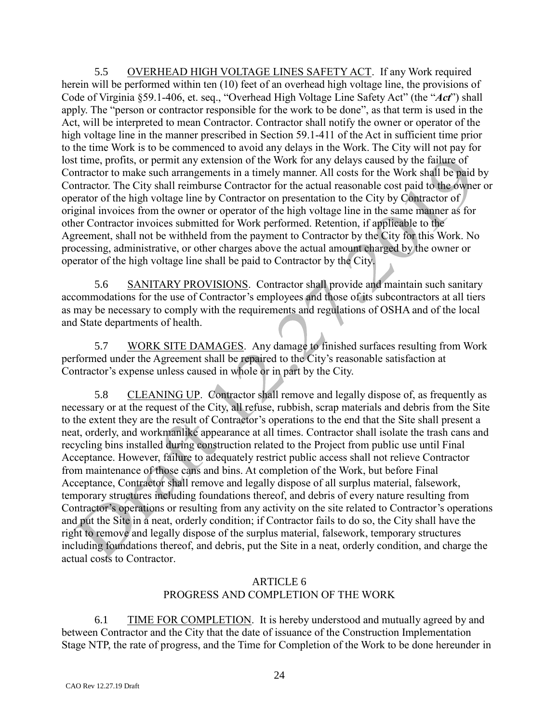5.5 OVERHEAD HIGH VOLTAGE LINES SAFETY ACT. If any Work required herein will be performed within ten (10) feet of an overhead high voltage line, the provisions of Code of Virginia §59.1-406, et. seq., "Overhead High Voltage Line Safety Act" (the "*Act*") shall apply. The "person or contractor responsible for the work to be done", as that term is used in the Act, will be interpreted to mean Contractor. Contractor shall notify the owner or operator of the high voltage line in the manner prescribed in Section 59.1-411 of the Act in sufficient time prior to the time Work is to be commenced to avoid any delays in the Work. The City will not pay for lost time, profits, or permit any extension of the Work for any delays caused by the failure of Contractor to make such arrangements in a timely manner. All costs for the Work shall be paid by Contractor. The City shall reimburse Contractor for the actual reasonable cost paid to the owner or operator of the high voltage line by Contractor on presentation to the City by Contractor of original invoices from the owner or operator of the high voltage line in the same manner as for other Contractor invoices submitted for Work performed. Retention, if applicable to the Agreement, shall not be withheld from the payment to Contractor by the City for this Work. No processing, administrative, or other charges above the actual amount charged by the owner or operator of the high voltage line shall be paid to Contractor by the City.

5.6 SANITARY PROVISIONS. Contractor shall provide and maintain such sanitary accommodations for the use of Contractor's employees and those of its subcontractors at all tiers as may be necessary to comply with the requirements and regulations of OSHA and of the local and State departments of health.

5.7 WORK SITE DAMAGES. Any damage to finished surfaces resulting from Work performed under the Agreement shall be repaired to the City's reasonable satisfaction at Contractor's expense unless caused in whole or in part by the City.

5.8 CLEANING UP. Contractor shall remove and legally dispose of, as frequently as necessary or at the request of the City, all refuse, rubbish, scrap materials and debris from the Site to the extent they are the result of Contractor's operations to the end that the Site shall present a neat, orderly, and workmanlike appearance at all times. Contractor shall isolate the trash cans and recycling bins installed during construction related to the Project from public use until Final Acceptance. However, failure to adequately restrict public access shall not relieve Contractor from maintenance of those cans and bins. At completion of the Work, but before Final Acceptance, Contractor shall remove and legally dispose of all surplus material, falsework, temporary structures including foundations thereof, and debris of every nature resulting from Contractor's operations or resulting from any activity on the site related to Contractor's operations and put the Site in a neat, orderly condition; if Contractor fails to do so, the City shall have the right to remove and legally dispose of the surplus material, falsework, temporary structures including foundations thereof, and debris, put the Site in a neat, orderly condition, and charge the actual costs to Contractor.

# ARTICLE 6

## PROGRESS AND COMPLETION OF THE WORK

6.1 TIME FOR COMPLETION. It is hereby understood and mutually agreed by and between Contractor and the City that the date of issuance of the Construction Implementation Stage NTP, the rate of progress, and the Time for Completion of the Work to be done hereunder in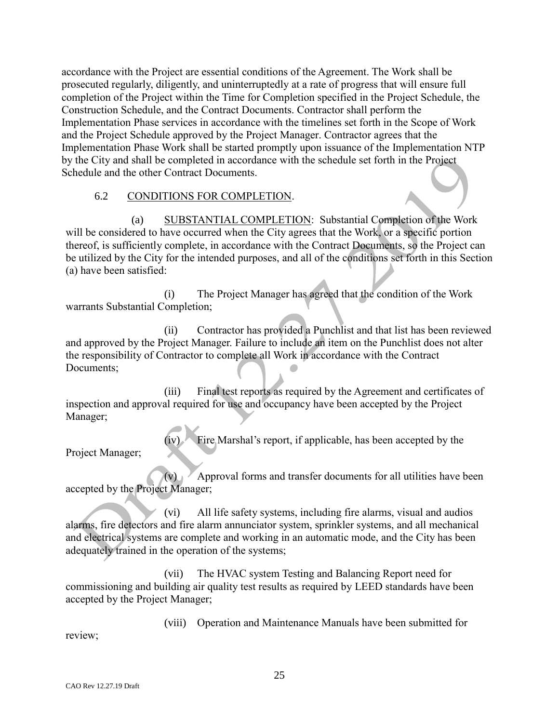accordance with the Project are essential conditions of the Agreement. The Work shall be prosecuted regularly, diligently, and uninterruptedly at a rate of progress that will ensure full completion of the Project within the Time for Completion specified in the Project Schedule, the Construction Schedule, and the Contract Documents. Contractor shall perform the Implementation Phase services in accordance with the timelines set forth in the Scope of Work and the Project Schedule approved by the Project Manager. Contractor agrees that the Implementation Phase Work shall be started promptly upon issuance of the Implementation NTP by the City and shall be completed in accordance with the schedule set forth in the Project Schedule and the other Contract Documents.

#### 6.2 CONDITIONS FOR COMPLETION.

<span id="page-27-0"></span>(a) SUBSTANTIAL COMPLETION: Substantial Completion of the Work will be considered to have occurred when the City agrees that the Work, or a specific portion thereof, is sufficiently complete, in accordance with the Contract Documents, so the Project can be utilized by the City for the intended purposes, and all of the conditions set forth in this Section [\(a\)](#page-27-0) have been satisfied:

(i) The Project Manager has agreed that the condition of the Work warrants Substantial Completion;

(ii) Contractor has provided a Punchlist and that list has been reviewed and approved by the Project Manager. Failure to include an item on the Punchlist does not alter the responsibility of Contractor to complete all Work in accordance with the Contract Documents;

(iii) Final test reports as required by the Agreement and certificates of inspection and approval required for use and occupancy have been accepted by the Project Manager;

Fire Marshal's report, if applicable, has been accepted by the Project Manager;

(v) Approval forms and transfer documents for all utilities have been accepted by the Project Manager;

(vi) All life safety systems, including fire alarms, visual and audios alarms, fire detectors and fire alarm annunciator system, sprinkler systems, and all mechanical and electrical systems are complete and working in an automatic mode, and the City has been adequately trained in the operation of the systems;

(vii) The HVAC system Testing and Balancing Report need for commissioning and building air quality test results as required by LEED standards have been accepted by the Project Manager;

(viii) Operation and Maintenance Manuals have been submitted for

review;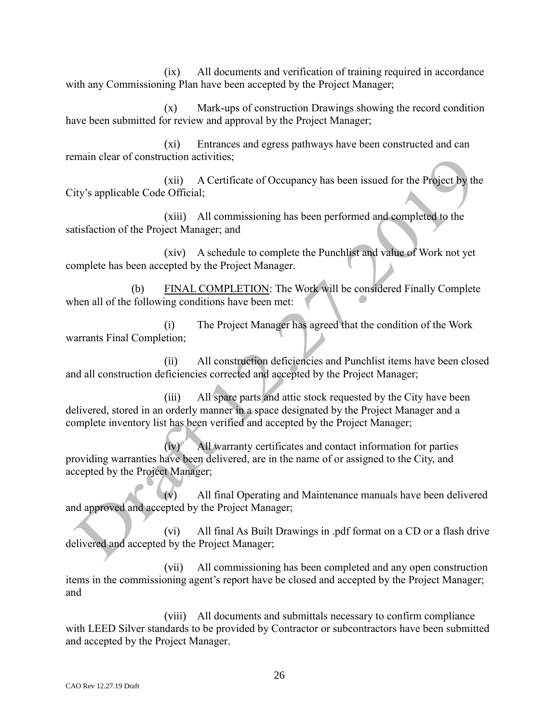(ix) All documents and verification of training required in accordance with any Commissioning Plan have been accepted by the Project Manager;

(x) Mark-ups of construction Drawings showing the record condition have been submitted for review and approval by the Project Manager;

(xi) Entrances and egress pathways have been constructed and can remain clear of construction activities;

(xii) A Certificate of Occupancy has been issued for the Project by the City's applicable Code Official;

(xiii) All commissioning has been performed and completed to the satisfaction of the Project Manager; and

(xiv) A schedule to complete the Punchlist and value of Work not yet complete has been accepted by the Project Manager.

(b) FINAL COMPLETION: The Work will be considered Finally Complete when all of the following conditions have been met:

(i) The Project Manager has agreed that the condition of the Work warrants Final Completion;

(ii) All construction deficiencies and Punchlist items have been closed and all construction deficiencies corrected and accepted by the Project Manager;

(iii) All spare parts and attic stock requested by the City have been delivered, stored in an orderly manner in a space designated by the Project Manager and a complete inventory list has been verified and accepted by the Project Manager;

(iv) All warranty certificates and contact information for parties providing warranties have been delivered, are in the name of or assigned to the City, and accepted by the Project Manager;

(v) All final Operating and Maintenance manuals have been delivered and approved and accepted by the Project Manager;

(vi) All final As Built Drawings in .pdf format on a CD or a flash drive delivered and accepted by the Project Manager;

(vii) All commissioning has been completed and any open construction items in the commissioning agent's report have be closed and accepted by the Project Manager; and

(viii) All documents and submittals necessary to confirm compliance with LEED Silver standards to be provided by Contractor or subcontractors have been submitted and accepted by the Project Manager.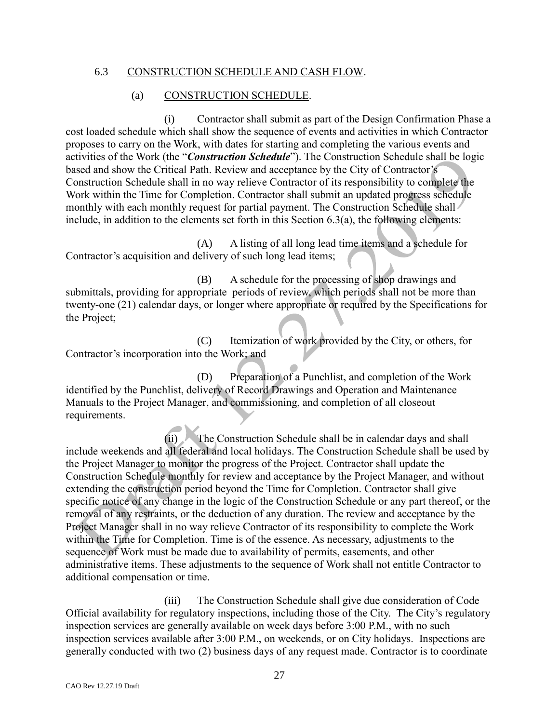#### <span id="page-29-1"></span>6.3 CONSTRUCTION SCHEDULE AND CASH FLOW.

#### (a) CONSTRUCTION SCHEDULE.

<span id="page-29-0"></span>(i) Contractor shall submit as part of the Design Confirmation Phase a cost loaded schedule which shall show the sequence of events and activities in which Contractor proposes to carry on the Work, with dates for starting and completing the various events and activities of the Work (the "*Construction Schedule*"). The Construction Schedule shall be logic based and show the Critical Path. Review and acceptance by the City of Contractor's Construction Schedule shall in no way relieve Contractor of its responsibility to complete the Work within the Time for Completion. Contractor shall submit an updated progress schedule monthly with each monthly request for partial payment. The Construction Schedule shall include, in addition to the elements set forth in this Section 6.3(a), the following elements:

(A) A listing of all long lead time items and a schedule for Contractor's acquisition and delivery of such long lead items;

(B) A schedule for the processing of shop drawings and submittals, providing for appropriate periods of review, which periods shall not be more than twenty-one (21) calendar days, or longer where appropriate or required by the Specifications for the Project;

(C) Itemization of work provided by the City, or others, for Contractor's incorporation into the Work; and

(D) Preparation of a Punchlist, and completion of the Work identified by the Punchlist, delivery of Record Drawings and Operation and Maintenance Manuals to the Project Manager, and commissioning, and completion of all closeout requirements.

(ii) The Construction Schedule shall be in calendar days and shall include weekends and all federal and local holidays. The Construction Schedule shall be used by the Project Manager to monitor the progress of the Project. Contractor shall update the Construction Schedule monthly for review and acceptance by the Project Manager, and without extending the construction period beyond the Time for Completion. Contractor shall give specific notice of any change in the logic of the Construction Schedule or any part thereof, or the removal of any restraints, or the deduction of any duration. The review and acceptance by the Project Manager shall in no way relieve Contractor of its responsibility to complete the Work within the Time for Completion. Time is of the essence. As necessary, adjustments to the sequence of Work must be made due to availability of permits, easements, and other administrative items. These adjustments to the sequence of Work shall not entitle Contractor to additional compensation or time.

(iii) The Construction Schedule shall give due consideration of Code Official availability for regulatory inspections, including those of the City. The City's regulatory inspection services are generally available on week days before 3:00 P.M., with no such inspection services available after 3:00 P.M., on weekends, or on City holidays. Inspections are generally conducted with two (2) business days of any request made. Contractor is to coordinate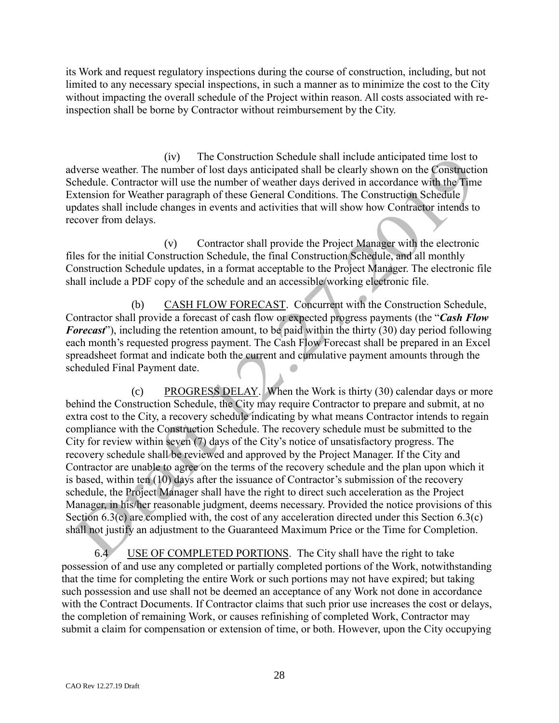its Work and request regulatory inspections during the course of construction, including, but not limited to any necessary special inspections, in such a manner as to minimize the cost to the City without impacting the overall schedule of the Project within reason. All costs associated with reinspection shall be borne by Contractor without reimbursement by the City.

(iv) The Construction Schedule shall include anticipated time lost to adverse weather. The number of lost days anticipated shall be clearly shown on the Construction Schedule. Contractor will use the number of weather days derived in accordance with the Time Extension for Weather paragraph of these General Conditions. The Construction Schedule updates shall include changes in events and activities that will show how Contractor intends to recover from delays.

(v) Contractor shall provide the Project Manager with the electronic files for the initial Construction Schedule, the final Construction Schedule, and all monthly Construction Schedule updates, in a format acceptable to the Project Manager. The electronic file shall include a PDF copy of the schedule and an accessible/working electronic file.

(b) CASH FLOW FORECAST. Concurrent with the Construction Schedule, Contractor shall provide a forecast of cash flow or expected progress payments (the "*Cash Flow Forecast*"), including the retention amount, to be paid within the thirty (30) day period following each month's requested progress payment. The Cash Flow Forecast shall be prepared in an Excel spreadsheet format and indicate both the current and cumulative payment amounts through the scheduled Final Payment date.

<span id="page-30-0"></span>(c) PROGRESS DELAY. When the Work is thirty  $(30)$  calendar days or more behind the Construction Schedule, the City may require Contractor to prepare and submit, at no extra cost to the City, a recovery schedule indicating by what means Contractor intends to regain compliance with the Construction Schedule. The recovery schedule must be submitted to the City for review within seven (7) days of the City's notice of unsatisfactory progress. The recovery schedule shall be reviewed and approved by the Project Manager. If the City and Contractor are unable to agree on the terms of the recovery schedule and the plan upon which it is based, within ten (10) days after the issuance of Contractor's submission of the recovery schedule, the Project Manager shall have the right to direct such acceleration as the Project Manager, in his/her reasonable judgment, deems necessary. Provided the notice provisions of this Section [6.3](#page-29-1)[\(c\)](#page-30-0) are complied with, the cost of any acceleration directed under this Section 6.[3\(c\)](#page-30-0) shall not justify an adjustment to the Guaranteed Maximum Price or the Time for Completion.

6.4 USE OF COMPLETED PORTIONS. The City shall have the right to take possession of and use any completed or partially completed portions of the Work, notwithstanding that the time for completing the entire Work or such portions may not have expired; but taking such possession and use shall not be deemed an acceptance of any Work not done in accordance with the Contract Documents. If Contractor claims that such prior use increases the cost or delays, the completion of remaining Work, or causes refinishing of completed Work, Contractor may submit a claim for compensation or extension of time, or both. However, upon the City occupying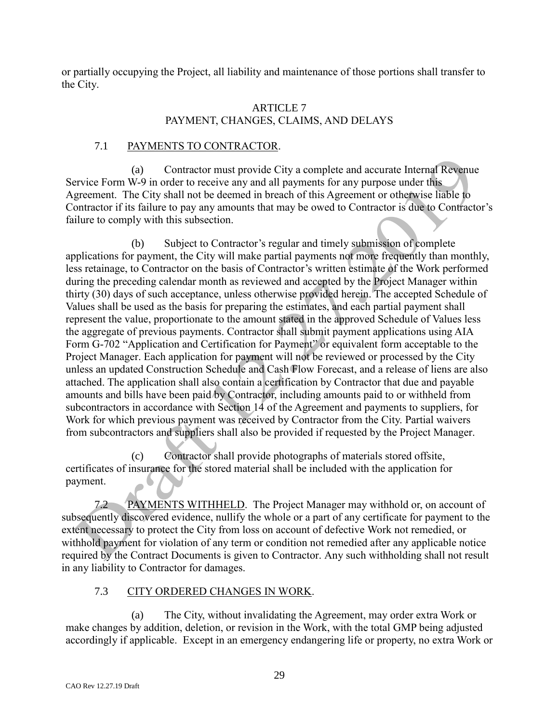or partially occupying the Project, all liability and maintenance of those portions shall transfer to the City.

#### ARTICLE 7 PAYMENT, CHANGES, CLAIMS, AND DELAYS

## 7.1 PAYMENTS TO CONTRACTOR.

(a) Contractor must provide City a complete and accurate Internal Revenue Service Form W-9 in order to receive any and all payments for any purpose under this Agreement. The City shall not be deemed in breach of this Agreement or otherwise liable to Contractor if its failure to pay any amounts that may be owed to Contractor is due to Contractor's failure to comply with this subsection.

(b) Subject to Contractor's regular and timely submission of complete applications for payment, the City will make partial payments not more frequently than monthly, less retainage, to Contractor on the basis of Contractor's written estimate of the Work performed during the preceding calendar month as reviewed and accepted by the Project Manager within thirty (30) days of such acceptance, unless otherwise provided herein. The accepted Schedule of Values shall be used as the basis for preparing the estimates, and each partial payment shall represent the value, proportionate to the amount stated in the approved Schedule of Values less the aggregate of previous payments. Contractor shall submit payment applications using AIA Form G-702 "Application and Certification for Payment" or equivalent form acceptable to the Project Manager. Each application for payment will not be reviewed or processed by the City unless an updated Construction Schedule and Cash Flow Forecast, and a release of liens are also attached. The application shall also contain a certification by Contractor that due and payable amounts and bills have been paid by Contractor, including amounts paid to or withheld from subcontractors in accordance with Section 14 of the Agreement and payments to suppliers, for Work for which previous payment was received by Contractor from the City. Partial waivers from subcontractors and suppliers shall also be provided if requested by the Project Manager.

(c) Contractor shall provide photographs of materials stored offsite, certificates of insurance for the stored material shall be included with the application for payment.

7.2 PAYMENTS WITHHELD. The Project Manager may withhold or, on account of subsequently discovered evidence, nullify the whole or a part of any certificate for payment to the extent necessary to protect the City from loss on account of defective Work not remedied, or withhold payment for violation of any term or condition not remedied after any applicable notice required by the Contract Documents is given to Contractor. Any such withholding shall not result in any liability to Contractor for damages.

## 7.3 CITY ORDERED CHANGES IN WORK.

<span id="page-31-0"></span>(a) The City, without invalidating the Agreement, may order extra Work or make changes by addition, deletion, or revision in the Work, with the total GMP being adjusted accordingly if applicable. Except in an emergency endangering life or property, no extra Work or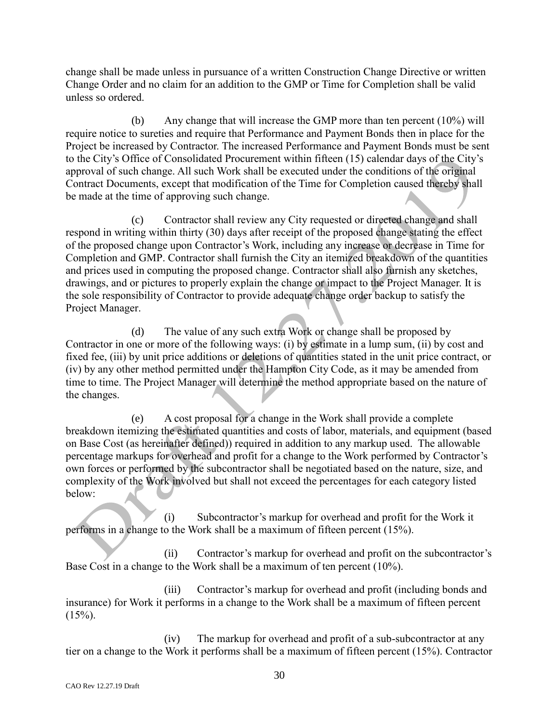change shall be made unless in pursuance of a written Construction Change Directive or written Change Order and no claim for an addition to the GMP or Time for Completion shall be valid unless so ordered.

(b) Any change that will increase the GMP more than ten percent (10%) will require notice to sureties and require that Performance and Payment Bonds then in place for the Project be increased by Contractor. The increased Performance and Payment Bonds must be sent to the City's Office of Consolidated Procurement within fifteen (15) calendar days of the City's approval of such change. All such Work shall be executed under the conditions of the original Contract Documents, except that modification of the Time for Completion caused thereby shall be made at the time of approving such change.

(c) Contractor shall review any City requested or directed change and shall respond in writing within thirty (30) days after receipt of the proposed change stating the effect of the proposed change upon Contractor's Work, including any increase or decrease in Time for Completion and GMP. Contractor shall furnish the City an itemized breakdown of the quantities and prices used in computing the proposed change. Contractor shall also furnish any sketches, drawings, and or pictures to properly explain the change or impact to the Project Manager. It is the sole responsibility of Contractor to provide adequate change order backup to satisfy the Project Manager.

(d) The value of any such extra Work or change shall be proposed by Contractor in one or more of the following ways: (i) by estimate in a lump sum, (ii) by cost and fixed fee, (iii) by unit price additions or deletions of quantities stated in the unit price contract, or (iv) by any other method permitted under the Hampton City Code, as it may be amended from time to time. The Project Manager will determine the method appropriate based on the nature of the changes.

<span id="page-32-0"></span>(e) A cost proposal for a change in the Work shall provide a complete breakdown itemizing the estimated quantities and costs of labor, materials, and equipment (based on Base Cost (as hereinafter defined)) required in addition to any markup used. The allowable percentage markups for overhead and profit for a change to the Work performed by Contractor's own forces or performed by the subcontractor shall be negotiated based on the nature, size, and complexity of the Work involved but shall not exceed the percentages for each category listed below:

(i) Subcontractor's markup for overhead and profit for the Work it performs in a change to the Work shall be a maximum of fifteen percent (15%).

(ii) Contractor's markup for overhead and profit on the subcontractor's Base Cost in a change to the Work shall be a maximum of ten percent (10%).

(iii) Contractor's markup for overhead and profit (including bonds and insurance) for Work it performs in a change to the Work shall be a maximum of fifteen percent  $(15\%)$ .

(iv) The markup for overhead and profit of a sub-subcontractor at any tier on a change to the Work it performs shall be a maximum of fifteen percent (15%). Contractor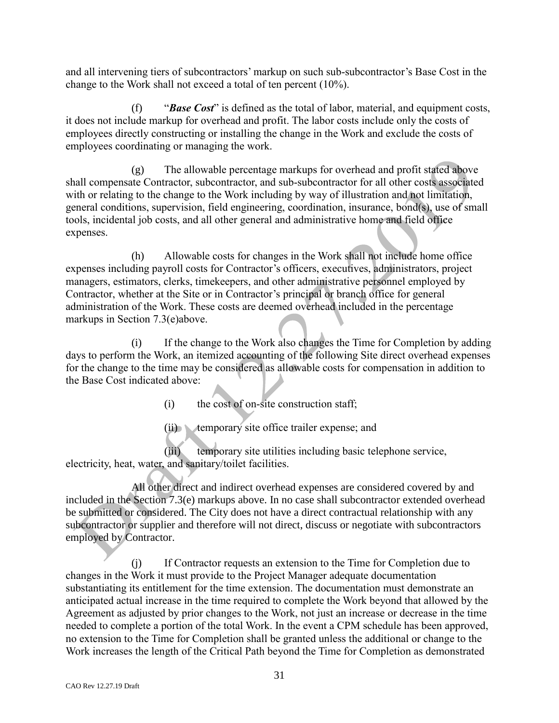and all intervening tiers of subcontractors' markup on such sub-subcontractor's Base Cost in the change to the Work shall not exceed a total of ten percent (10%).

(f) "*Base Cost*" is defined as the total of labor, material, and equipment costs, it does not include markup for overhead and profit. The labor costs include only the costs of employees directly constructing or installing the change in the Work and exclude the costs of employees coordinating or managing the work.

(g) The allowable percentage markups for overhead and profit stated above shall compensate Contractor, subcontractor, and sub-subcontractor for all other costs associated with or relating to the change to the Work including by way of illustration and not limitation, general conditions, supervision, field engineering, coordination, insurance, bond(s), use of small tools, incidental job costs, and all other general and administrative home and field office expenses.

(h) Allowable costs for changes in the Work shall not include home office expenses including payroll costs for Contractor's officers, executives, administrators, project managers, estimators, clerks, timekeepers, and other administrative personnel employed by Contractor, whether at the Site or in Contractor's principal or branch office for general administration of the Work. These costs are deemed overhead included in the percentage markups in Section [7.3](#page-31-0)[\(e\)a](#page-32-0)bove.

(i) If the change to the Work also changes the Time for Completion by adding days to perform the Work, an itemized accounting of the following Site direct overhead expenses for the change to the time may be considered as allowable costs for compensation in addition to the Base Cost indicated above:

(i) the cost of on-site construction staff;

(ii) temporary site office trailer expense; and

(iii) temporary site utilities including basic telephone service, electricity, heat, water, and sanitary/toilet facilities.

All other direct and indirect overhead expenses are considered covered by and included in the Section [7.3](#page-31-0)[\(e\)](#page-32-0) markups above. In no case shall subcontractor extended overhead be submitted or considered. The City does not have a direct contractual relationship with any subcontractor or supplier and therefore will not direct, discuss or negotiate with subcontractors employed by Contractor.

(j) If Contractor requests an extension to the Time for Completion due to changes in the Work it must provide to the Project Manager adequate documentation substantiating its entitlement for the time extension. The documentation must demonstrate an anticipated actual increase in the time required to complete the Work beyond that allowed by the Agreement as adjusted by prior changes to the Work, not just an increase or decrease in the time needed to complete a portion of the total Work. In the event a CPM schedule has been approved, no extension to the Time for Completion shall be granted unless the additional or change to the Work increases the length of the Critical Path beyond the Time for Completion as demonstrated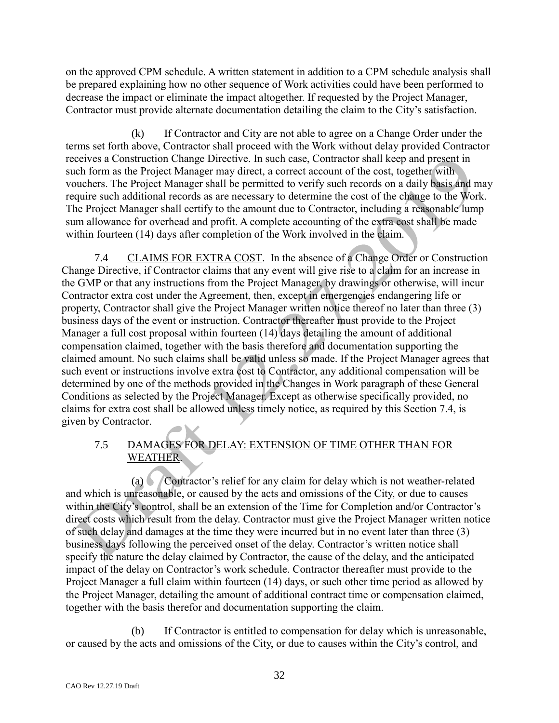on the approved CPM schedule. A written statement in addition to a CPM schedule analysis shall be prepared explaining how no other sequence of Work activities could have been performed to decrease the impact or eliminate the impact altogether. If requested by the Project Manager, Contractor must provide alternate documentation detailing the claim to the City's satisfaction.

(k) If Contractor and City are not able to agree on a Change Order under the terms set forth above, Contractor shall proceed with the Work without delay provided Contractor receives a Construction Change Directive. In such case, Contractor shall keep and present in such form as the Project Manager may direct, a correct account of the cost, together with vouchers. The Project Manager shall be permitted to verify such records on a daily basis and may require such additional records as are necessary to determine the cost of the change to the Work. The Project Manager shall certify to the amount due to Contractor, including a reasonable lump sum allowance for overhead and profit. A complete accounting of the extra cost shall be made within fourteen (14) days after completion of the Work involved in the claim.

<span id="page-34-0"></span>7.4 CLAIMS FOR EXTRA COST. In the absence of a Change Order or Construction Change Directive, if Contractor claims that any event will give rise to a claim for an increase in the GMP or that any instructions from the Project Manager, by drawings or otherwise, will incur Contractor extra cost under the Agreement, then, except in emergencies endangering life or property, Contractor shall give the Project Manager written notice thereof no later than three (3) business days of the event or instruction. Contractor thereafter must provide to the Project Manager a full cost proposal within fourteen (14) days detailing the amount of additional compensation claimed, together with the basis therefore and documentation supporting the claimed amount. No such claims shall be valid unless so made. If the Project Manager agrees that such event or instructions involve extra cost to Contractor, any additional compensation will be determined by one of the methods provided in the Changes in Work paragraph of these General Conditions as selected by the Project Manager. Except as otherwise specifically provided, no claims for extra cost shall be allowed unless timely notice, as required by this Section [7.4,](#page-34-0) is given by Contractor.

## <span id="page-34-1"></span>7.5 DAMAGES FOR DELAY: EXTENSION OF TIME OTHER THAN FOR WEATHER.

(a) Contractor's relief for any claim for delay which is not weather-related and which is unreasonable, or caused by the acts and omissions of the City, or due to causes within the City's control, shall be an extension of the Time for Completion and/or Contractor's direct costs which result from the delay. Contractor must give the Project Manager written notice of such delay and damages at the time they were incurred but in no event later than three (3) business days following the perceived onset of the delay. Contractor's written notice shall specify the nature the delay claimed by Contractor, the cause of the delay, and the anticipated impact of the delay on Contractor's work schedule. Contractor thereafter must provide to the Project Manager a full claim within fourteen (14) days, or such other time period as allowed by the Project Manager, detailing the amount of additional contract time or compensation claimed, together with the basis therefor and documentation supporting the claim.

(b) If Contractor is entitled to compensation for delay which is unreasonable, or caused by the acts and omissions of the City, or due to causes within the City's control, and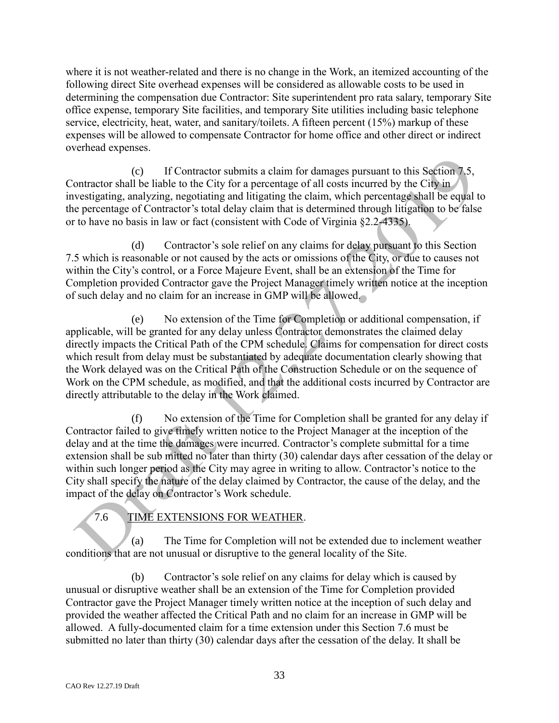where it is not weather-related and there is no change in the Work, an itemized accounting of the following direct Site overhead expenses will be considered as allowable costs to be used in determining the compensation due Contractor: Site superintendent pro rata salary, temporary Site office expense, temporary Site facilities, and temporary Site utilities including basic telephone service, electricity, heat, water, and sanitary/toilets. A fifteen percent (15%) markup of these expenses will be allowed to compensate Contractor for home office and other direct or indirect overhead expenses.

(c) If Contractor submits a claim for damages pursuant to this Section [7.5,](#page-34-1) Contractor shall be liable to the City for a percentage of all costs incurred by the City in investigating, analyzing, negotiating and litigating the claim, which percentage shall be equal to the percentage of Contractor's total delay claim that is determined through litigation to be false or to have no basis in law or fact (consistent with Code of Virginia §2.2-4335).

(d) Contractor's sole relief on any claims for delay pursuant to this Section 7.5 which is reasonable or not caused by the acts or omissions of the City, or due to causes not within the City's control, or a Force Majeure Event, shall be an extension of the Time for Completion provided Contractor gave the Project Manager timely written notice at the inception of such delay and no claim for an increase in GMP will be allowed.

(e) No extension of the Time for Completion or additional compensation, if applicable, will be granted for any delay unless Contractor demonstrates the claimed delay directly impacts the Critical Path of the CPM schedule. Claims for compensation for direct costs which result from delay must be substantiated by adequate documentation clearly showing that the Work delayed was on the Critical Path of the Construction Schedule or on the sequence of Work on the CPM schedule, as modified, and that the additional costs incurred by Contractor are directly attributable to the delay in the Work claimed.

(f) No extension of the Time for Completion shall be granted for any delay if Contractor failed to give timely written notice to the Project Manager at the inception of the delay and at the time the damages were incurred. Contractor's complete submittal for a time extension shall be sub mitted no later than thirty (30) calendar days after cessation of the delay or within such longer period as the City may agree in writing to allow. Contractor's notice to the City shall specify the nature of the delay claimed by Contractor, the cause of the delay, and the impact of the delay on Contractor's Work schedule.

7.6 TIME EXTENSIONS FOR WEATHER.

<span id="page-35-0"></span>(a) The Time for Completion will not be extended due to inclement weather conditions that are not unusual or disruptive to the general locality of the Site.

(b) Contractor's sole relief on any claims for delay which is caused by unusual or disruptive weather shall be an extension of the Time for Completion provided Contractor gave the Project Manager timely written notice at the inception of such delay and provided the weather affected the Critical Path and no claim for an increase in GMP will be allowed. A fully-documented claim for a time extension under this Section [7.6](#page-35-0) must be submitted no later than thirty (30) calendar days after the cessation of the delay. It shall be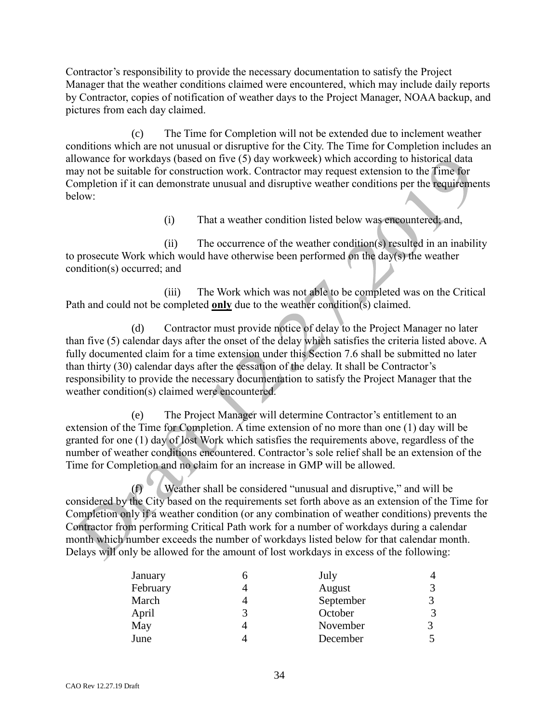Contractor's responsibility to provide the necessary documentation to satisfy the Project Manager that the weather conditions claimed were encountered, which may include daily reports by Contractor, copies of notification of weather days to the Project Manager, NOAA backup, and pictures from each day claimed.

(c) The Time for Completion will not be extended due to inclement weather conditions which are not unusual or disruptive for the City. The Time for Completion includes an allowance for workdays (based on five (5) day workweek) which according to historical data may not be suitable for construction work. Contractor may request extension to the Time for Completion if it can demonstrate unusual and disruptive weather conditions per the requirements below:

(i) That a weather condition listed below was encountered; and,

(ii) The occurrence of the weather condition(s) resulted in an inability to prosecute Work which would have otherwise been performed on the day(s) the weather condition(s) occurred; and

(iii) The Work which was not able to be completed was on the Critical Path and could not be completed **only** due to the weather condition(s) claimed.

(d) Contractor must provide notice of delay to the Project Manager no later than five (5) calendar days after the onset of the delay which satisfies the criteria listed above. A fully documented claim for a time extension under this Section [7.6](#page-35-0) shall be submitted no later than thirty (30) calendar days after the cessation of the delay. It shall be Contractor's responsibility to provide the necessary documentation to satisfy the Project Manager that the weather condition(s) claimed were encountered.

(e) The Project Manager will determine Contractor's entitlement to an extension of the Time for Completion. A time extension of no more than one (1) day will be granted for one (1) day of lost Work which satisfies the requirements above, regardless of the number of weather conditions encountered. Contractor's sole relief shall be an extension of the Time for Completion and no claim for an increase in GMP will be allowed.

(f) Weather shall be considered "unusual and disruptive," and will be considered by the City based on the requirements set forth above as an extension of the Time for Completion only if a weather condition (or any combination of weather conditions) prevents the Contractor from performing Critical Path work for a number of workdays during a calendar month which number exceeds the number of workdays listed below for that calendar month. Delays will only be allowed for the amount of lost workdays in excess of the following:

| January  | July      | 4 |
|----------|-----------|---|
| February | August    | 3 |
| March    | September | 3 |
| April    | October   | 3 |
| May      | November  |   |
| June     | December  | 5 |
|          |           |   |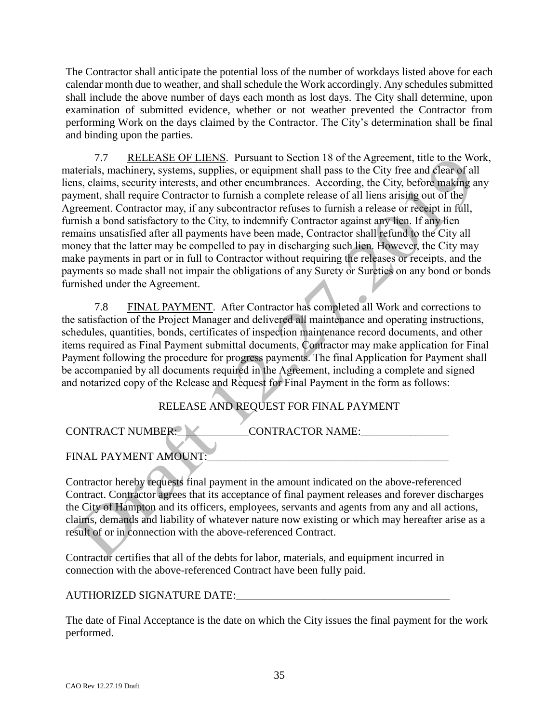The Contractor shall anticipate the potential loss of the number of workdays listed above for each calendar month due to weather, and shall schedule the Work accordingly. Any schedules submitted shall include the above number of days each month as lost days. The City shall determine, upon examination of submitted evidence, whether or not weather prevented the Contractor from performing Work on the days claimed by the Contractor. The City's determination shall be final and binding upon the parties.

7.7 RELEASE OF LIENS. Pursuant to Section 18 of the Agreement, title to the Work, materials, machinery, systems, supplies, or equipment shall pass to the City free and clear of all liens, claims, security interests, and other encumbrances. According, the City, before making any payment, shall require Contractor to furnish a complete release of all liens arising out of the Agreement. Contractor may, if any subcontractor refuses to furnish a release or receipt in full, furnish a bond satisfactory to the City, to indemnify Contractor against any lien. If any lien remains unsatisfied after all payments have been made, Contractor shall refund to the City all money that the latter may be compelled to pay in discharging such lien. However, the City may make payments in part or in full to Contractor without requiring the releases or receipts, and the payments so made shall not impair the obligations of any Surety or Sureties on any bond or bonds furnished under the Agreement.

<span id="page-37-0"></span>7.8 FINAL PAYMENT. After Contractor has completed all Work and corrections to the satisfaction of the Project Manager and delivered all maintenance and operating instructions, schedules, quantities, bonds, certificates of inspection maintenance record documents, and other items required as Final Payment submittal documents, Contractor may make application for Final Payment following the procedure for progress payments. The final Application for Payment shall be accompanied by all documents required in the Agreement, including a complete and signed and notarized copy of the Release and Request for Final Payment in the form as follows:

# RELEASE AND REQUEST FOR FINAL PAYMENT

| <b>CONTRACT NUMBER:</b> | <b>CONTRACTOR NAME:</b> |
|-------------------------|-------------------------|
|                         |                         |

# FINAL PAYMENT AMOUNT:

Contractor hereby requests final payment in the amount indicated on the above-referenced Contract. Contractor agrees that its acceptance of final payment releases and forever discharges the City of Hampton and its officers, employees, servants and agents from any and all actions, claims, demands and liability of whatever nature now existing or which may hereafter arise as a result of or in connection with the above-referenced Contract.

Contractor certifies that all of the debts for labor, materials, and equipment incurred in connection with the above-referenced Contract have been fully paid.

## AUTHORIZED SIGNATURE DATE:

The date of Final Acceptance is the date on which the City issues the final payment for the work performed.